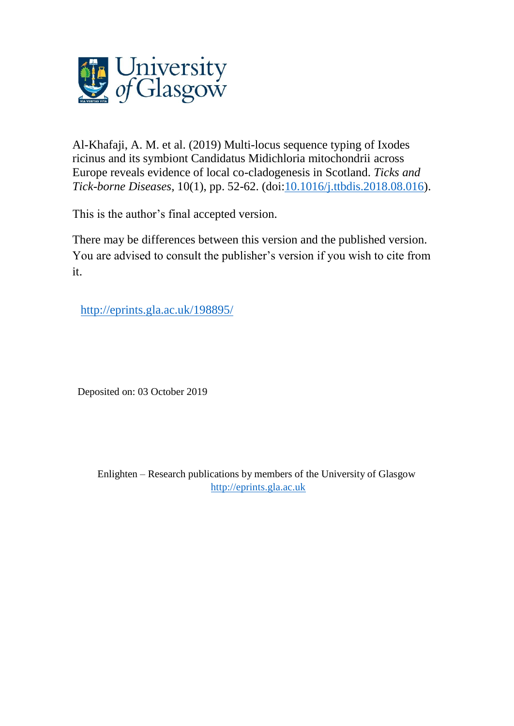

Al-Khafaji, A. M. et al. (2019) Multi-locus sequence typing of Ixodes ricinus and its symbiont Candidatus Midichloria mitochondrii across Europe reveals evidence of local co-cladogenesis in Scotland. *Ticks and Tick-borne Diseases*, 10(1), pp. 52-62. (doi[:10.1016/j.ttbdis.2018.08.016\)](http://dx.doi.org/10.1016/j.ttbdis.2018.08.016).

This is the author's final accepted version.

There may be differences between this version and the published version. You are advised to consult the publisher's version if you wish to cite from it.

<http://eprints.gla.ac.uk/198895/>

Deposited on: 03 October 2019

Enlighten – Research publications by members of the University of Glasgow [http://eprints.gla.ac.uk](http://eprints.gla.ac.uk/)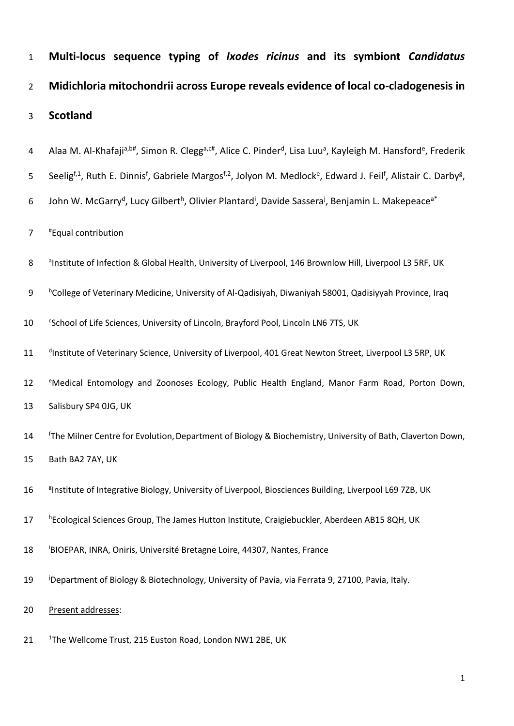| $\mathbf{1}$   | Multi-locus sequence typing of Ixodes ricinus and its symbiont Candidatus                                                                                                              |
|----------------|----------------------------------------------------------------------------------------------------------------------------------------------------------------------------------------|
| $\overline{2}$ | Midichloria mitochondrii across Europe reveals evidence of local co-cladogenesis in                                                                                                    |
| 3              | <b>Scotland</b>                                                                                                                                                                        |
| 4              | Alaa M. Al-Khafaji <sup>a,b#</sup> , Simon R. Clegg <sup>a,c#</sup> , Alice C. Pinder <sup>d</sup> , Lisa Luu <sup>a</sup> , Kayleigh M. Hansford <sup>e</sup> , Frederik              |
| 5              | Seelig <sup>f,1</sup> , Ruth E. Dinnis <sup>f</sup> , Gabriele Margos <sup>f,2</sup> , Jolyon M. Medlock <sup>e</sup> , Edward J. Feil <sup>f</sup> , Alistair C. Darby <sup>g</sup> , |
| 6              | John W. McGarry <sup>d</sup> , Lucy Gilbert <sup>h</sup> , Olivier Plantard <sup>i</sup> , Davide Sassera <sup>j</sup> , Benjamin L. Makepeace <sup>a*</sup>                           |
| $\overline{7}$ | <i>"Equal contribution</i>                                                                                                                                                             |
| 8              | <sup>a</sup> Institute of Infection & Global Health, University of Liverpool, 146 Brownlow Hill, Liverpool L3 5RF, UK                                                                  |
| 9              | <sup>b</sup> College of Veterinary Medicine, University of Al-Qadisiyah, Diwaniyah 58001, Qadisiyyah Province, Iraq                                                                    |
| 10             | <sup>c</sup> School of Life Sciences, University of Lincoln, Brayford Pool, Lincoln LN6 7TS, UK                                                                                        |
| 11             | dInstitute of Veterinary Science, University of Liverpool, 401 Great Newton Street, Liverpool L3 5RP, UK                                                                               |
| 12             | <sup>e</sup> Medical Entomology and Zoonoses Ecology, Public Health England, Manor Farm Road, Porton Down,                                                                             |
| 13             | Salisbury SP4 OJG, UK                                                                                                                                                                  |
| 14             | <sup>f</sup> The Milner Centre for Evolution, Department of Biology & Biochemistry, University of Bath, Claverton Down,                                                                |
| 15             | Bath BA2 7AY, UK                                                                                                                                                                       |
| 16             | <sup>8</sup> Institute of Integrative Biology, University of Liverpool, Biosciences Building, Liverpool L69 7ZB, UK                                                                    |
| 17             | hEcological Sciences Group, The James Hutton Institute, Craigiebuckler, Aberdeen AB15 8QH, UK                                                                                          |
| 18             | BIOEPAR, INRA, Oniris, Université Bretagne Loire, 44307, Nantes, France                                                                                                                |
| 19             | <sup>j</sup> Department of Biology & Biotechnology, University of Pavia, via Ferrata 9, 27100, Pavia, Italy.                                                                           |
| 20             | Present addresses:                                                                                                                                                                     |
| 21             | <sup>1</sup> The Wellcome Trust, 215 Euston Road, London NW1 2BE, UK                                                                                                                   |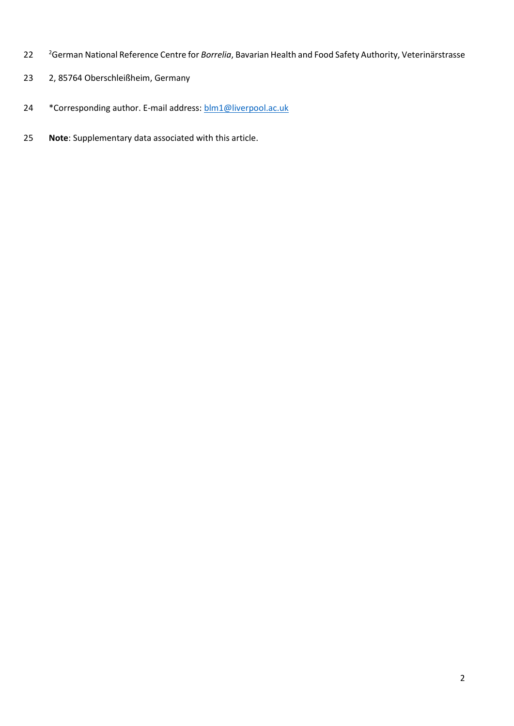- <sup>2</sup> German National Reference Centre for *Borrelia*, Bavarian Health and Food Safety Authority, Veterinärstrasse
- 2, 85764 Oberschleißheim, Germany
- 24 \* Corresponding author. E-mail address: [blm1@liverpool.ac.uk](mailto:blm1@liverpool.ac.uk)
- **Note**: Supplementary data associated with this article.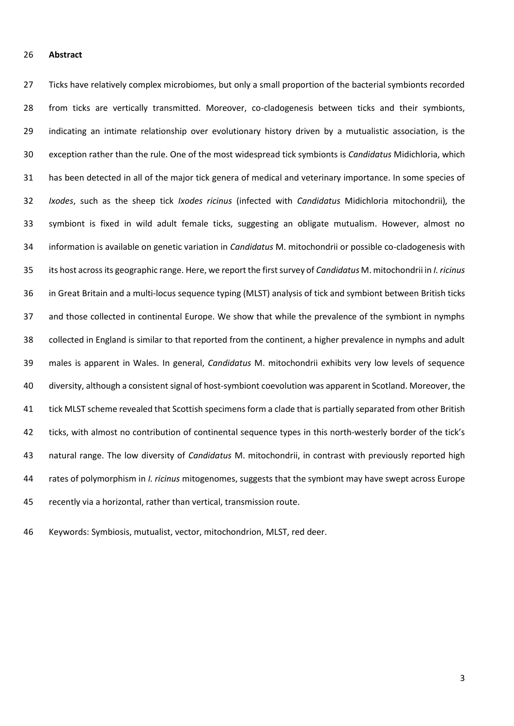## **Abstract**

 Ticks have relatively complex microbiomes, but only a small proportion of the bacterial symbionts recorded from ticks are vertically transmitted. Moreover, co-cladogenesis between ticks and their symbionts, indicating an intimate relationship over evolutionary history driven by a mutualistic association, is the exception rather than the rule. One of the most widespread tick symbionts is *Candidatus* Midichloria, which has been detected in all of the major tick genera of medical and veterinary importance. In some species of *Ixodes*, such as the sheep tick *Ixodes ricinus* (infected with *Candidatus* Midichloria mitochondrii)*,* the symbiont is fixed in wild adult female ticks, suggesting an obligate mutualism. However, almost no information is available on genetic variation in *Candidatus* M. mitochondrii or possible co-cladogenesis with its host across its geographic range. Here, we report the first survey of *Candidatus* M. mitochondrii in *I. ricinus* in Great Britain and a multi-locus sequence typing (MLST) analysis of tick and symbiont between British ticks and those collected in continental Europe. We show that while the prevalence of the symbiont in nymphs collected in England is similar to that reported from the continent, a higher prevalence in nymphs and adult males is apparent in Wales. In general, *Candidatus* M. mitochondrii exhibits very low levels of sequence diversity, although a consistent signal of host-symbiont coevolution was apparent in Scotland. Moreover, the tick MLST scheme revealed that Scottish specimens form a clade that is partially separated from other British ticks, with almost no contribution of continental sequence types in this north-westerly border of the tick's natural range. The low diversity of *Candidatus* M. mitochondrii, in contrast with previously reported high rates of polymorphism in *I. ricinus* mitogenomes, suggests that the symbiont may have swept across Europe recently via a horizontal, rather than vertical, transmission route.

Keywords: Symbiosis, mutualist, vector, mitochondrion, MLST, red deer.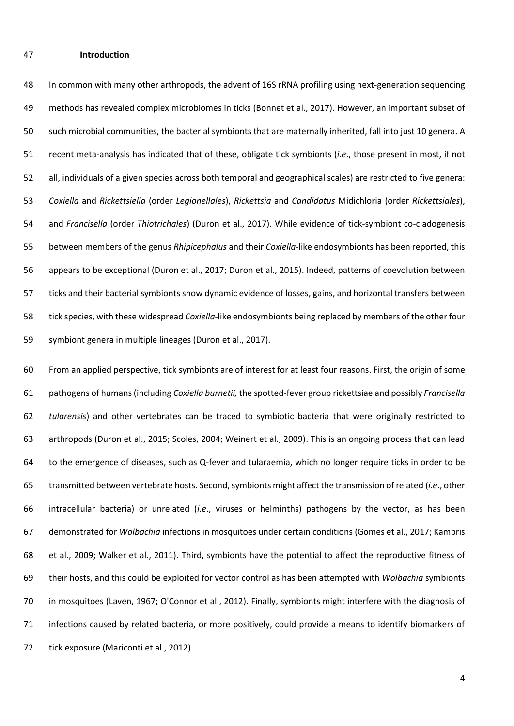#### **Introduction**

 In common with many other arthropods, the advent of 16S rRNA profiling using next-generation sequencing methods has revealed complex microbiomes in ticks (Bonnet et al., 2017). However, an important subset of such microbial communities, the bacterial symbionts that are maternally inherited, fall into just 10 genera. A recent meta-analysis has indicated that of these, obligate tick symbionts (*i.e*., those present in most, if not all, individuals of a given species across both temporal and geographical scales) are restricted to five genera: *Coxiella* and *Rickettsiella* (order *Legionellales*), *Rickettsia* and *Candidatus* Midichloria (order *Rickettsiales*), and *Francisella* (order *Thiotrichales*) (Duron et al., 2017). While evidence of tick-symbiont co-cladogenesis between members of the genus *Rhipicephalus* and their *Coxiella*-like endosymbionts has been reported, this appears to be exceptional (Duron et al., 2017; Duron et al., 2015). Indeed, patterns of coevolution between ticks and their bacterial symbionts show dynamic evidence of losses, gains, and horizontal transfers between tick species, with these widespread *Coxiella*-like endosymbionts being replaced by members of the other four symbiont genera in multiple lineages (Duron et al., 2017).

 From an applied perspective, tick symbionts are of interest for at least four reasons. First, the origin of some pathogens of humans (including *Coxiella burnetii,* the spotted-fever group rickettsiae and possibly *Francisella tularensis*) and other vertebrates can be traced to symbiotic bacteria that were originally restricted to arthropods (Duron et al., 2015; Scoles, 2004; Weinert et al., 2009). This is an ongoing process that can lead to the emergence of diseases, such as Q-fever and tularaemia, which no longer require ticks in order to be transmitted between vertebrate hosts. Second, symbionts might affect the transmission of related (*i.e*., other intracellular bacteria) or unrelated (*i.e*., viruses or helminths) pathogens by the vector, as has been demonstrated for *Wolbachia* infections in mosquitoes under certain conditions (Gomes et al., 2017; Kambris et al., 2009; Walker et al., 2011). Third, symbionts have the potential to affect the reproductive fitness of their hosts, and this could be exploited for vector control as has been attempted with *Wolbachia* symbionts in mosquitoes (Laven, 1967; O'Connor et al., 2012). Finally, symbionts might interfere with the diagnosis of infections caused by related bacteria, or more positively, could provide a means to identify biomarkers of 72 tick exposure (Mariconti et al., 2012).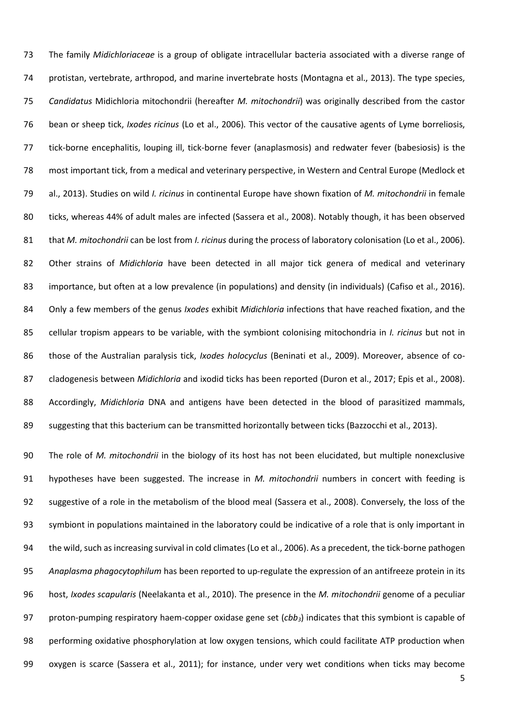The family *Midichloriaceae* is a group of obligate intracellular bacteria associated with a diverse range of protistan, vertebrate, arthropod, and marine invertebrate hosts (Montagna et al., 2013). The type species, *Candidatus* Midichloria mitochondrii (hereafter *M. mitochondrii*) was originally described from the castor bean or sheep tick, *Ixodes ricinus* (Lo et al., 2006)*.* This vector of the causative agents of Lyme borreliosis, tick-borne encephalitis, louping ill, tick-borne fever (anaplasmosis) and redwater fever (babesiosis) is the most important tick, from a medical and veterinary perspective, in Western and Central Europe (Medlock et al., 2013). Studies on wild *I. ricinus* in continental Europe have shown fixation of *M. mitochondrii* in female ticks, whereas 44% of adult males are infected (Sassera et al., 2008). Notably though, it has been observed that *M. mitochondrii* can be lost from *I. ricinus* during the process of laboratory colonisation (Lo et al., 2006). Other strains of *Midichloria* have been detected in all major tick genera of medical and veterinary importance, but often at a low prevalence (in populations) and density (in individuals) (Cafiso et al., 2016). Only a few members of the genus *Ixodes* exhibit *Midichloria* infections that have reached fixation, and the cellular tropism appears to be variable, with the symbiont colonising mitochondria in *I. ricinus* but not in those of the Australian paralysis tick, *Ixodes holocyclus* (Beninati et al., 2009). Moreover, absence of co- cladogenesis between *Midichloria* and ixodid ticks has been reported (Duron et al., 2017; Epis et al., 2008). Accordingly, *Midichloria* DNA and antigens have been detected in the blood of parasitized mammals, suggesting that this bacterium can be transmitted horizontally between ticks (Bazzocchi et al., 2013).

 The role of *M. mitochondrii* in the biology of its host has not been elucidated, but multiple nonexclusive hypotheses have been suggested. The increase in *M. mitochondrii* numbers in concert with feeding is suggestive of a role in the metabolism of the blood meal (Sassera et al., 2008). Conversely, the loss of the symbiont in populations maintained in the laboratory could be indicative of a role that is only important in the wild, such as increasing survival in cold climates (Lo et al., 2006). As a precedent, the tick-borne pathogen *Anaplasma phagocytophilum* has been reported to up-regulate the expression of an antifreeze protein in its host, *Ixodes scapularis* (Neelakanta et al., 2010). The presence in the *M. mitochondrii* genome of a peculiar proton-pumping respiratory haem-copper oxidase gene set (*cbb3*) indicates that this symbiont is capable of performing oxidative phosphorylation at low oxygen tensions, which could facilitate ATP production when oxygen is scarce (Sassera et al., 2011); for instance, under very wet conditions when ticks may become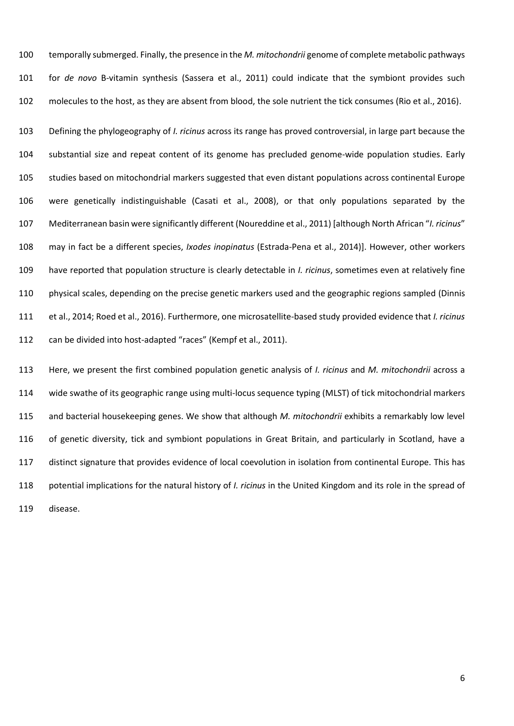temporally submerged. Finally, the presence in the *M. mitochondrii* genome of complete metabolic pathways for *de novo* B-vitamin synthesis (Sassera et al., 2011) could indicate that the symbiont provides such molecules to the host, as they are absent from blood, the sole nutrient the tick consumes (Rio et al., 2016).

 Defining the phylogeography of *I. ricinus* across its range has proved controversial, in large part because the substantial size and repeat content of its genome has precluded genome-wide population studies. Early studies based on mitochondrial markers suggested that even distant populations across continental Europe were genetically indistinguishable (Casati et al., 2008), or that only populations separated by the Mediterranean basin were significantly different (Noureddine et al., 2011) [although North African "*I. ricinus*" may in fact be a different species, *Ixodes inopinatus* (Estrada-Pena et al., 2014)]. However, other workers have reported that population structure is clearly detectable in *I. ricinus*, sometimes even at relatively fine physical scales, depending on the precise genetic markers used and the geographic regions sampled (Dinnis et al., 2014; Roed et al., 2016). Furthermore, one microsatellite-based study provided evidence that *I. ricinus*  can be divided into host-adapted "races" (Kempf et al., 2011).

 Here, we present the first combined population genetic analysis of *I. ricinus* and *M. mitochondrii* across a wide swathe of its geographic range using multi-locus sequence typing (MLST) of tick mitochondrial markers and bacterial housekeeping genes. We show that although *M. mitochondrii* exhibits a remarkably low level of genetic diversity, tick and symbiont populations in Great Britain, and particularly in Scotland, have a distinct signature that provides evidence of local coevolution in isolation from continental Europe. This has potential implications for the natural history of *I. ricinus* in the United Kingdom and its role in the spread of disease.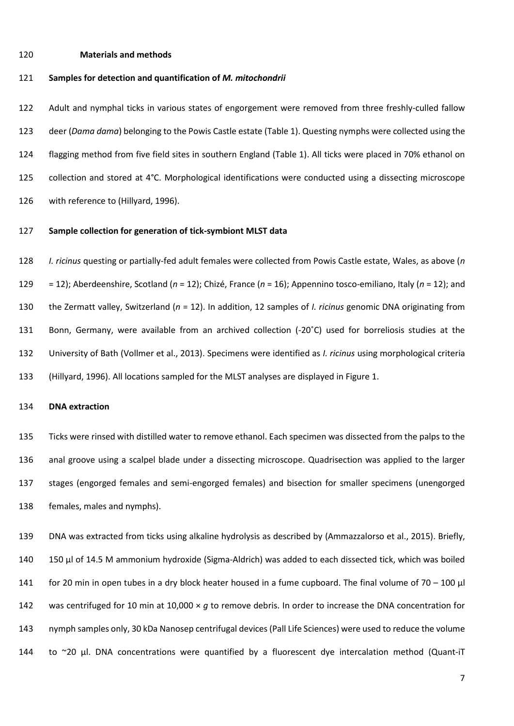### **Materials and methods**

## **Samples for detection and quantification of** *M. mitochondrii*

 Adult and nymphal ticks in various states of engorgement were removed from three freshly-culled fallow deer (*Dama dama*) belonging to the Powis Castle estate (Table 1). Questing nymphs were collected using the flagging method from five field sites in southern England (Table 1). All ticks were placed in 70% ethanol on collection and stored at 4°C. Morphological identifications were conducted using a dissecting microscope with reference to (Hillyard, 1996).

# **Sample collection for generation of tick-symbiont MLST data**

 *I. ricinus* questing or partially-fed adult females were collected from Powis Castle estate, Wales, as above (*n* = 12); Aberdeenshire, Scotland (*n* = 12); Chizé, France (*n* = 16); Appennino tosco-emiliano, Italy (*n* = 12); and the Zermatt valley, Switzerland (*n* = 12). In addition, 12 samples of *I. ricinus* genomic DNA originating from Bonn, Germany, were available from an archived collection (-20˚C) used for borreliosis studies at the University of Bath (Vollmer et al., 2013). Specimens were identified as *I. ricinus* using morphological criteria (Hillyard, 1996). All locations sampled for the MLST analyses are displayed in Figure 1.

## **DNA extraction**

 Ticks were rinsed with distilled water to remove ethanol. Each specimen was dissected from the palps to the anal groove using a scalpel blade under a dissecting microscope. Quadrisection was applied to the larger stages (engorged females and semi-engorged females) and bisection for smaller specimens (unengorged females, males and nymphs).

 DNA was extracted from ticks using alkaline hydrolysis as described by (Ammazzalorso et al., 2015). Briefly, 150 μl of 14.5 M ammonium hydroxide (Sigma-Aldrich) was added to each dissected tick, which was boiled for 20 min in open tubes in a dry block heater housed in a fume cupboard. The final volume of 70 – 100 μl was centrifuged for 10 min at 10,000 × *g* to remove debris. In order to increase the DNA concentration for nymph samples only, 30 kDa Nanosep centrifugal devices (Pall Life Sciences) were used to reduce the volume 144 to ~20 µl. DNA concentrations were quantified by a fluorescent dye intercalation method (Quant-iT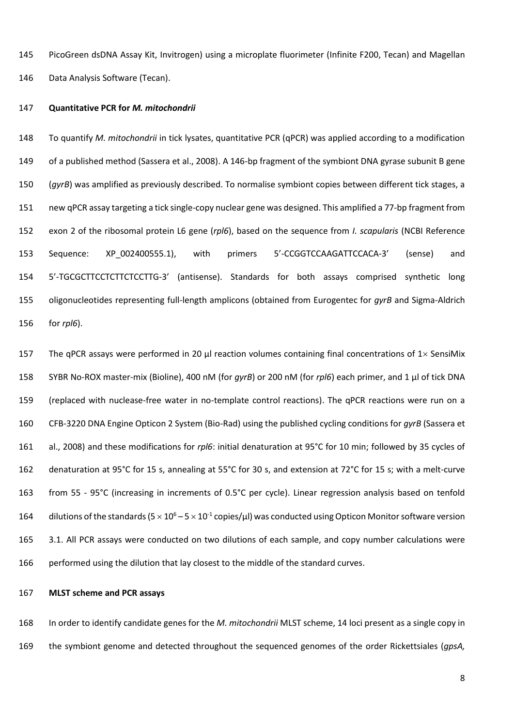PicoGreen dsDNA Assay Kit, Invitrogen) using a microplate fluorimeter (Infinite F200, Tecan) and Magellan Data Analysis Software (Tecan).

## **Quantitative PCR for** *M. mitochondrii*

 To quantify *M. mitochondrii* in tick lysates, quantitative PCR (qPCR) was applied according to a modification of a published method (Sassera et al., 2008). A 146-bp fragment of the symbiont DNA gyrase subunit B gene (*gyrB*) was amplified as previously described. To normalise symbiont copies between different tick stages, a new qPCR assay targeting a tick single-copy nuclear gene was designed. This amplified a 77-bp fragment from exon 2 of the ribosomal protein L6 gene (*rpl6*), based on the sequence from *I. scapularis* (NCBI Reference Sequence: XP\_002400555.1), with primers 5'-CCGGTCCAAGATTCCACA-3' (sense) and 5'-TGCGCTTCCTCTTCTCCTTG-3' (antisense). Standards for both assays comprised synthetic long oligonucleotides representing full-length amplicons (obtained from Eurogentec for *gyrB* and Sigma-Aldrich for *rpl6*).

157 The qPCR assays were performed in 20  $\mu$  reaction volumes containing final concentrations of 1 $\times$  SensiMix SYBR No-ROX master-mix (Bioline), 400 nM (for *gyrB*) or 200 nM (for *rpl6*) each primer, and 1 µl of tick DNA (replaced with nuclease-free water in no-template control reactions). The qPCR reactions were run on a CFB-3220 DNA Engine Opticon 2 System (Bio-Rad) using the published cycling conditions for *gyrB* (Sassera et al., 2008) and these modifications for *rpl6*: initial denaturation at 95°C for 10 min; followed by 35 cycles of denaturation at 95°C for 15 s, annealing at 55°C for 30 s, and extension at 72°C for 15 s; with a melt-curve from 55 - 95°C (increasing in increments of 0.5°C per cycle). Linear regression analysis based on tenfold 164 dilutions of the standards ( $5 \times 10^6 - 5 \times 10^{-1}$  copies/ $\mu$ l) was conducted using Opticon Monitor software version 165 3.1. All PCR assays were conducted on two dilutions of each sample, and copy number calculations were performed using the dilution that lay closest to the middle of the standard curves.

## **MLST scheme and PCR assays**

 In order to identify candidate genes for the *M. mitochondrii* MLST scheme, 14 loci present as a single copy in the symbiont genome and detected throughout the sequenced genomes of the order Rickettsiales (*gpsA,*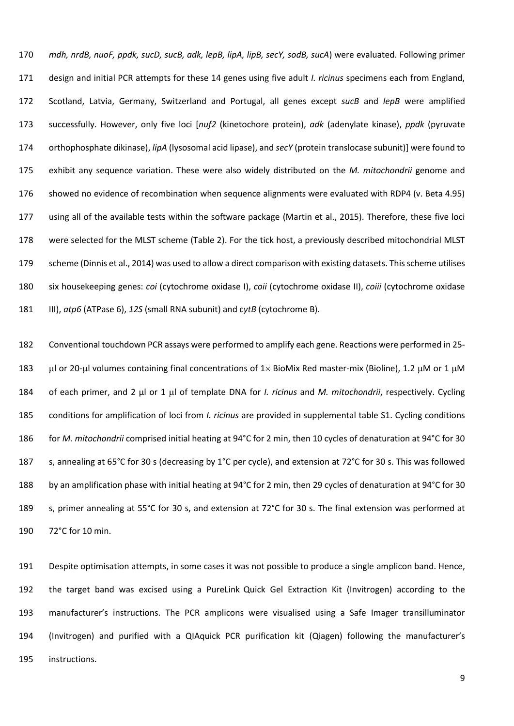*mdh, nrdB, nuoF, ppdk, sucD, sucB, adk, lepB, lipA, lipB, secY, sodB, sucA*) were evaluated. Following primer design and initial PCR attempts for these 14 genes using five adult *I. ricinus* specimens each from England, Scotland, Latvia, Germany, Switzerland and Portugal, all genes except *sucB* and *lepB* were amplified successfully. However, only five loci [*nuf2* (kinetochore protein), *adk* (adenylate kinase), *ppdk* (pyruvate orthophosphate dikinase), *lipA* (lysosomal acid lipase), and *secY* (protein translocase subunit)] were found to exhibit any sequence variation. These were also widely distributed on the *M. mitochondrii* genome and showed no evidence of recombination when sequence alignments were evaluated with RDP4 (v. Beta 4.95) using all of the available tests within the software package (Martin et al., 2015). Therefore, these five loci were selected for the MLST scheme (Table 2). For the tick host, a previously described mitochondrial MLST scheme (Dinnis et al., 2014) was used to allow a direct comparison with existing datasets. This scheme utilises six housekeeping genes: *coi* (cytochrome oxidase I), *coii* (cytochrome oxidase II), *coiii* (cytochrome oxidase III), *atp6* (ATPase 6), *12S* (small RNA subunit) and c*ytB* (cytochrome B).

 Conventional touchdown PCR assays were performed to amplify each gene. Reactions were performed in 25- 183 Lul or 20-µl volumes containing final concentrations of 1× BioMix Red master-mix (Bioline), 1.2 µM or 1 µM 184 of each primer, and 2 μl or 1 μl of template DNA for *I. ricinus* and *M. mitochondrii*, respectively. Cycling conditions for amplification of loci from *I. ricinus* are provided in supplemental table S1. Cycling conditions for *M. mitochondrii* comprised initial heating at 94°C for 2 min, then 10 cycles of denaturation at 94°C for 30 187 s, annealing at 65°C for 30 s (decreasing by 1°C per cycle), and extension at 72°C for 30 s. This was followed 188 by an amplification phase with initial heating at 94°C for 2 min, then 29 cycles of denaturation at 94°C for 30 s, primer annealing at 55°C for 30 s, and extension at 72°C for 30 s. The final extension was performed at 72°C for 10 min.

 Despite optimisation attempts, in some cases it was not possible to produce a single amplicon band. Hence, the target band was excised using a PureLink Quick Gel Extraction Kit (Invitrogen) according to the manufacturer's instructions. The PCR amplicons were visualised using a Safe Imager transilluminator (Invitrogen) and purified with a QIAquick PCR purification kit (Qiagen) following the manufacturer's instructions.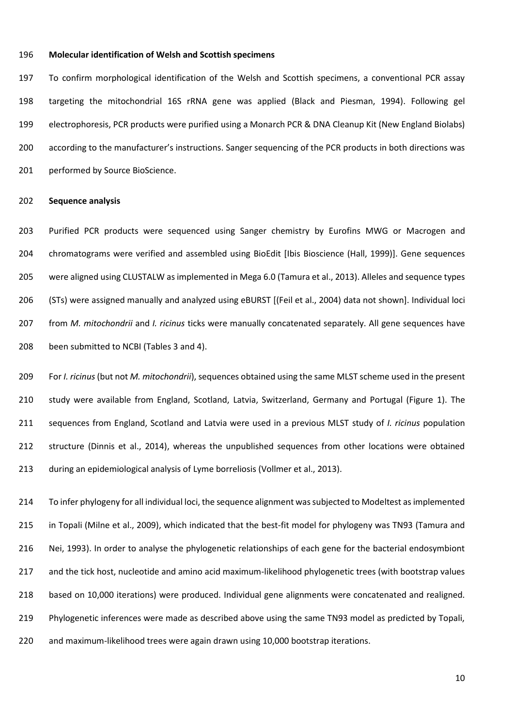### **Molecular identification of Welsh and Scottish specimens**

 To confirm morphological identification of the Welsh and Scottish specimens, a conventional PCR assay targeting the mitochondrial 16S rRNA gene was applied (Black and Piesman, 1994). Following gel electrophoresis, PCR products were purified using a Monarch PCR & DNA Cleanup Kit (New England Biolabs) according to the manufacturer's instructions. Sanger sequencing of the PCR products in both directions was performed by Source BioScience.

#### **Sequence analysis**

 Purified PCR products were sequenced using Sanger chemistry by Eurofins MWG or Macrogen and chromatograms were verified and assembled using BioEdit [Ibis Bioscience (Hall, 1999)]. Gene sequences were aligned using CLUSTALW as implemented in Mega 6.0 (Tamura et al., 2013). Alleles and sequence types (STs) were assigned manually and analyzed using eBURST [(Feil et al., 2004) data not shown]. Individual loci from *M. mitochondrii* and *I. ricinus* ticks were manually concatenated separately. All gene sequences have been submitted to NCBI (Tables 3 and 4).

 For *I. ricinus* (but not *M. mitochondrii*), sequences obtained using the same MLST scheme used in the present study were available from England, Scotland, Latvia, Switzerland, Germany and Portugal (Figure 1). The sequences from England, Scotland and Latvia were used in a previous MLST study of *I. ricinus* population structure (Dinnis et al., 2014), whereas the unpublished sequences from other locations were obtained during an epidemiological analysis of Lyme borreliosis (Vollmer et al., 2013).

 To infer phylogeny for all individual loci, the sequence alignment was subjected to Modeltest as implemented in Topali (Milne et al., 2009), which indicated that the best-fit model for phylogeny was TN93 (Tamura and Nei, 1993). In order to analyse the phylogenetic relationships of each gene for the bacterial endosymbiont and the tick host, nucleotide and amino acid maximum-likelihood phylogenetic trees (with bootstrap values based on 10,000 iterations) were produced. Individual gene alignments were concatenated and realigned. Phylogenetic inferences were made as described above using the same TN93 model as predicted by Topali, and maximum-likelihood trees were again drawn using 10,000 bootstrap iterations.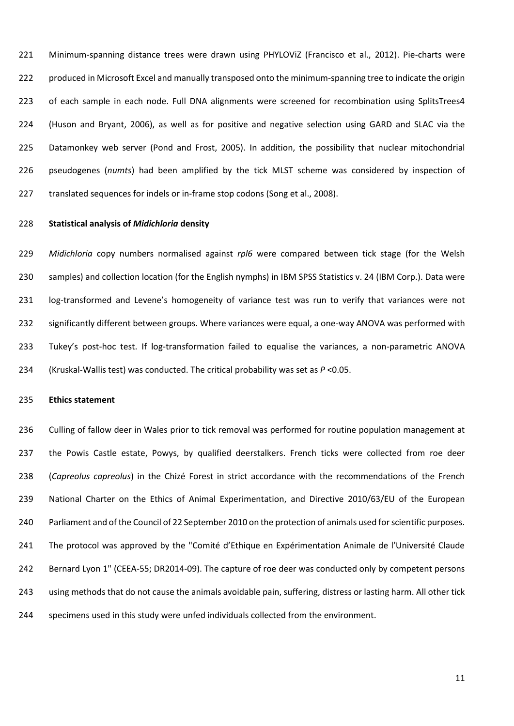Minimum-spanning distance trees were drawn using PHYLOViZ (Francisco et al., 2012). Pie-charts were produced in Microsoft Excel and manually transposed onto the minimum-spanning tree to indicate the origin 223 of each sample in each node. Full DNA alignments were screened for recombination using SplitsTrees4 (Huson and Bryant, 2006), as well as for positive and negative selection using GARD and SLAC via the Datamonkey web server (Pond and Frost, 2005). In addition, the possibility that nuclear mitochondrial pseudogenes (*numts*) had been amplified by the tick MLST scheme was considered by inspection of 227 translated sequences for indels or in-frame stop codons (Song et al., 2008).

### **Statistical analysis of** *Midichloria* **density**

 *Midichloria* copy numbers normalised against *rpl6* were compared between tick stage (for the Welsh samples) and collection location (for the English nymphs) in IBM SPSS Statistics v. 24 (IBM Corp.). Data were log-transformed and Levene's homogeneity of variance test was run to verify that variances were not significantly different between groups. Where variances were equal, a one-way ANOVA was performed with Tukey's post-hoc test. If log-transformation failed to equalise the variances, a non-parametric ANOVA (Kruskal-Wallis test) was conducted. The critical probability was set as *P* <0.05.

#### **Ethics statement**

 Culling of fallow deer in Wales prior to tick removal was performed for routine population management at 237 the Powis Castle estate, Powys, by qualified deerstalkers. French ticks were collected from roe deer (*Capreolus capreolus*) in the Chizé Forest in strict accordance with the recommendations of the French National Charter on the Ethics of Animal Experimentation, and Directive 2010/63/EU of the European Parliament and of the Council of 22 September 2010 on the protection of animals used for scientific purposes. The protocol was approved by the "Comité d'Ethique en Expérimentation Animale de l'Université Claude Bernard Lyon 1" (CEEA-55; DR2014-09). The capture of roe deer was conducted only by competent persons using methods that do not cause the animals avoidable pain, suffering, distress or lasting harm. All other tick specimens used in this study were unfed individuals collected from the environment.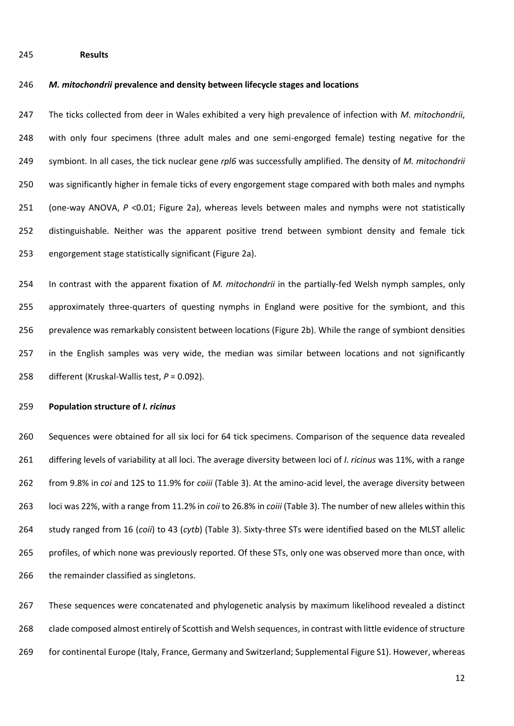**Results**

#### *M. mitochondrii* **prevalence and density between lifecycle stages and locations**

 The ticks collected from deer in Wales exhibited a very high prevalence of infection with *M. mitochondrii*, with only four specimens (three adult males and one semi-engorged female) testing negative for the symbiont. In all cases, the tick nuclear gene *rpl6* was successfully amplified. The density of *M. mitochondrii*  was significantly higher in female ticks of every engorgement stage compared with both males and nymphs (one-way ANOVA, *P* <0.01; Figure 2a), whereas levels between males and nymphs were not statistically distinguishable. Neither was the apparent positive trend between symbiont density and female tick engorgement stage statistically significant (Figure 2a).

 In contrast with the apparent fixation of *M. mitochondrii* in the partially-fed Welsh nymph samples, only approximately three-quarters of questing nymphs in England were positive for the symbiont, and this prevalence was remarkably consistent between locations (Figure 2b). While the range of symbiont densities in the English samples was very wide, the median was similar between locations and not significantly different (Kruskal-Wallis test, *P* = 0.092).

### **Population structure of** *I. ricinus*

 Sequences were obtained for all six loci for 64 tick specimens. Comparison of the sequence data revealed differing levels of variability at all loci. The average diversity between loci of *I. ricinus* was 11%, with a range from 9.8% in *coi* and 12S to 11.9% for *coiii* (Table 3). At the amino-acid level, the average diversity between loci was 22%, with a range from 11.2% in *coii* to 26.8% in *coiii* (Table 3). The number of new alleles within this study ranged from 16 (*coii*) to 43 (*cytb*) (Table 3). Sixty-three STs were identified based on the MLST allelic profiles, of which none was previously reported. Of these STs, only one was observed more than once, with 266 the remainder classified as singletons.

 These sequences were concatenated and phylogenetic analysis by maximum likelihood revealed a distinct clade composed almost entirely of Scottish and Welsh sequences, in contrast with little evidence of structure for continental Europe (Italy, France, Germany and Switzerland; Supplemental Figure S1). However, whereas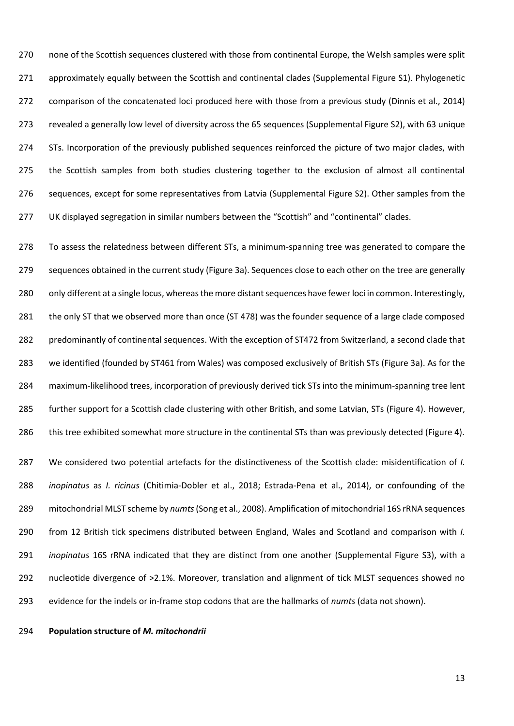none of the Scottish sequences clustered with those from continental Europe, the Welsh samples were split approximately equally between the Scottish and continental clades (Supplemental Figure S1). Phylogenetic comparison of the concatenated loci produced here with those from a previous study (Dinnis et al., 2014) revealed a generally low level of diversity across the 65 sequences (Supplemental Figure S2), with 63 unique STs. Incorporation of the previously published sequences reinforced the picture of two major clades, with the Scottish samples from both studies clustering together to the exclusion of almost all continental sequences, except for some representatives from Latvia (Supplemental Figure S2). Other samples from the 277 UK displayed segregation in similar numbers between the "Scottish" and "continental" clades.

 To assess the relatedness between different STs, a minimum-spanning tree was generated to compare the sequences obtained in the current study (Figure 3a). Sequences close to each other on the tree are generally 280 only different at a single locus, whereas the more distant sequences have fewer loci in common. Interestingly, 281 the only ST that we observed more than once (ST 478) was the founder sequence of a large clade composed predominantly of continental sequences. With the exception of ST472 from Switzerland, a second clade that we identified (founded by ST461 from Wales) was composed exclusively of British STs (Figure 3a). As for the maximum-likelihood trees, incorporation of previously derived tick STs into the minimum-spanning tree lent further support for a Scottish clade clustering with other British, and some Latvian, STs (Figure 4). However, this tree exhibited somewhat more structure in the continental STs than was previously detected (Figure 4).

 We considered two potential artefacts for the distinctiveness of the Scottish clade: misidentification of *I. inopinatus* as *I. ricinus* (Chitimia-Dobler et al., 2018; Estrada-Pena et al., 2014), or confounding of the mitochondrial MLST scheme by *numts*(Song et al., 2008). Amplification of mitochondrial 16S rRNA sequences from 12 British tick specimens distributed between England, Wales and Scotland and comparison with *I. inopinatus* 16S rRNA indicated that they are distinct from one another (Supplemental Figure S3), with a nucleotide divergence of >2.1%. Moreover, translation and alignment of tick MLST sequences showed no evidence for the indels or in-frame stop codons that are the hallmarks of *numts* (data not shown).

**Population structure of** *M. mitochondrii*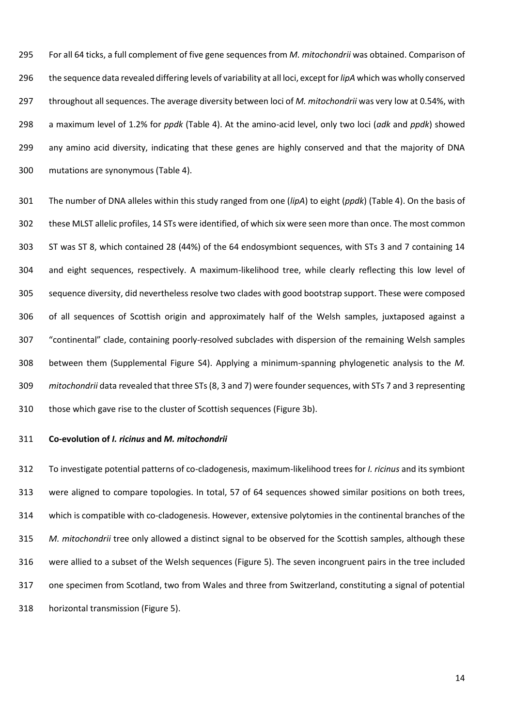For all 64 ticks, a full complement of five gene sequences from *M. mitochondrii* was obtained. Comparison of the sequence data revealed differing levels of variability at all loci, except for *lipA* which was wholly conserved throughout all sequences. The average diversity between loci of *M. mitochondrii* was very low at 0.54%, with a maximum level of 1.2% for *ppdk* (Table 4). At the amino-acid level, only two loci (*adk* and *ppdk*) showed any amino acid diversity, indicating that these genes are highly conserved and that the majority of DNA mutations are synonymous (Table 4).

 The number of DNA alleles within this study ranged from one (*lipA*) to eight (*ppdk*) (Table 4). On the basis of these MLST allelic profiles, 14 STs were identified, of which six were seen more than once. The most common ST was ST 8, which contained 28 (44%) of the 64 endosymbiont sequences, with STs 3 and 7 containing 14 and eight sequences, respectively. A maximum-likelihood tree, while clearly reflecting this low level of sequence diversity, did nevertheless resolve two clades with good bootstrap support. These were composed of all sequences of Scottish origin and approximately half of the Welsh samples, juxtaposed against a "continental" clade, containing poorly-resolved subclades with dispersion of the remaining Welsh samples between them (Supplemental Figure S4). Applying a minimum-spanning phylogenetic analysis to the *M. mitochondrii* data revealed that three STs (8, 3 and 7) were founder sequences, with STs 7 and 3 representing those which gave rise to the cluster of Scottish sequences (Figure 3b).

## **Co-evolution of** *I. ricinus* **and** *M. mitochondrii*

 To investigate potential patterns of co-cladogenesis, maximum-likelihood trees for *I. ricinus* and its symbiont were aligned to compare topologies. In total, 57 of 64 sequences showed similar positions on both trees, which is compatible with co-cladogenesis. However, extensive polytomies in the continental branches of the *M. mitochondrii* tree only allowed a distinct signal to be observed for the Scottish samples, although these were allied to a subset of the Welsh sequences (Figure 5). The seven incongruent pairs in the tree included one specimen from Scotland, two from Wales and three from Switzerland, constituting a signal of potential horizontal transmission (Figure 5).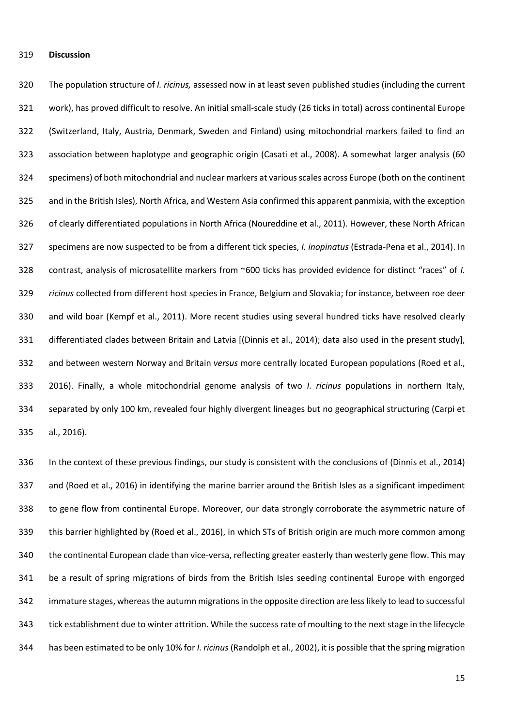#### **Discussion**

 The population structure of *I. ricinus,* assessed now in at least seven published studies (including the current work), has proved difficult to resolve. An initial small-scale study (26 ticks in total) across continental Europe (Switzerland, Italy, Austria, Denmark, Sweden and Finland) using mitochondrial markers failed to find an association between haplotype and geographic origin (Casati et al., 2008). A somewhat larger analysis (60 specimens) of both mitochondrial and nuclear markers at various scales across Europe (both on the continent and in the British Isles), North Africa, and Western Asia confirmed this apparent panmixia, with the exception 326 of clearly differentiated populations in North Africa (Noureddine et al., 2011). However, these North African specimens are now suspected to be from a different tick species, *I. inopinatus* (Estrada-Pena et al., 2014). In contrast, analysis of microsatellite markers from ~600 ticks has provided evidence for distinct "races" of *I. ricinus* collected from different host species in France, Belgium and Slovakia; for instance, between roe deer and wild boar (Kempf et al., 2011). More recent studies using several hundred ticks have resolved clearly differentiated clades between Britain and Latvia [(Dinnis et al., 2014); data also used in the present study], and between western Norway and Britain *versus* more centrally located European populations (Roed et al., 2016). Finally, a whole mitochondrial genome analysis of two *I. ricinus* populations in northern Italy, separated by only 100 km, revealed four highly divergent lineages but no geographical structuring (Carpi et al., 2016).

 In the context of these previous findings, our study is consistent with the conclusions of (Dinnis et al., 2014) and (Roed et al., 2016) in identifying the marine barrier around the British Isles as a significant impediment 338 to gene flow from continental Europe. Moreover, our data strongly corroborate the asymmetric nature of this barrier highlighted by (Roed et al., 2016), in which STs of British origin are much more common among 340 the continental European clade than vice-versa, reflecting greater easterly than westerly gene flow. This may be a result of spring migrations of birds from the British Isles seeding continental Europe with engorged immature stages, whereas the autumn migrations in the opposite direction are less likely to lead to successful tick establishment due to winter attrition. While the success rate of moulting to the next stage in the lifecycle has been estimated to be only 10% for *I. ricinus* (Randolph et al., 2002), it is possible that the spring migration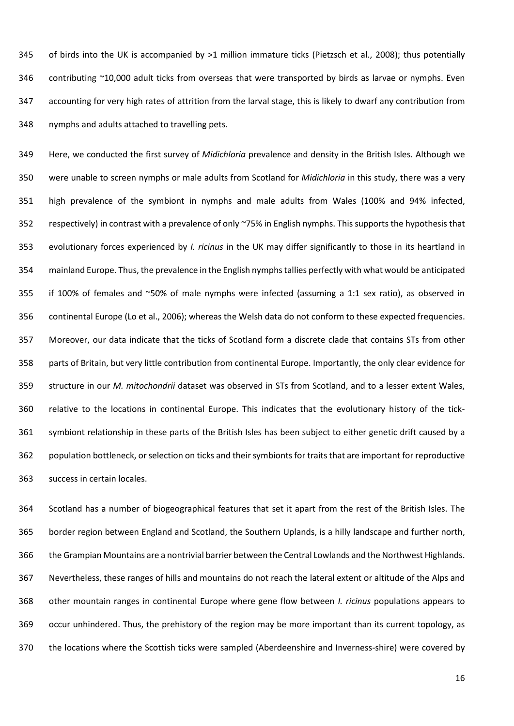of birds into the UK is accompanied by >1 million immature ticks (Pietzsch et al., 2008); thus potentially 346 contributing ~10,000 adult ticks from overseas that were transported by birds as larvae or nymphs. Even accounting for very high rates of attrition from the larval stage, this is likely to dwarf any contribution from nymphs and adults attached to travelling pets.

 Here, we conducted the first survey of *Midichloria* prevalence and density in the British Isles. Although we were unable to screen nymphs or male adults from Scotland for *Midichloria* in this study, there was a very high prevalence of the symbiont in nymphs and male adults from Wales (100% and 94% infected, respectively) in contrast with a prevalence of only ~75% in English nymphs. This supports the hypothesis that evolutionary forces experienced by *I. ricinus* in the UK may differ significantly to those in its heartland in mainland Europe. Thus, the prevalence in the English nymphs tallies perfectly with what would be anticipated if 100% of females and ~50% of male nymphs were infected (assuming a 1:1 sex ratio), as observed in continental Europe (Lo et al., 2006); whereas the Welsh data do not conform to these expected frequencies. Moreover, our data indicate that the ticks of Scotland form a discrete clade that contains STs from other parts of Britain, but very little contribution from continental Europe. Importantly, the only clear evidence for structure in our *M. mitochondrii* dataset was observed in STs from Scotland, and to a lesser extent Wales, relative to the locations in continental Europe. This indicates that the evolutionary history of the tick- symbiont relationship in these parts of the British Isles has been subject to either genetic drift caused by a population bottleneck, or selection on ticks and their symbionts for traits that are important for reproductive success in certain locales.

 Scotland has a number of biogeographical features that set it apart from the rest of the British Isles. The border region between England and Scotland, the Southern Uplands, is a hilly landscape and further north, the Grampian Mountains are a nontrivial barrier between the Central Lowlands and the Northwest Highlands. Nevertheless, these ranges of hills and mountains do not reach the lateral extent or altitude of the Alps and other mountain ranges in continental Europe where gene flow between *I. ricinus* populations appears to occur unhindered. Thus, the prehistory of the region may be more important than its current topology, as the locations where the Scottish ticks were sampled (Aberdeenshire and Inverness-shire) were covered by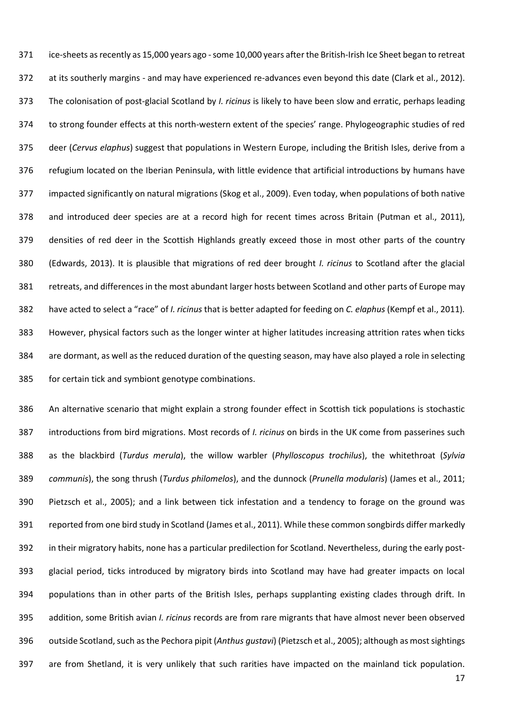ice-sheets as recently as 15,000 years ago -some 10,000 years after the British-Irish Ice Sheet began to retreat at its southerly margins - and may have experienced re-advances even beyond this date (Clark et al., 2012). The colonisation of post-glacial Scotland by *I. ricinus* is likely to have been slow and erratic, perhaps leading to strong founder effects at this north-western extent of the species' range. Phylogeographic studies of red deer (*Cervus elaphus*) suggest that populations in Western Europe, including the British Isles, derive from a refugium located on the Iberian Peninsula, with little evidence that artificial introductions by humans have impacted significantly on natural migrations (Skog et al., 2009). Even today, when populations of both native and introduced deer species are at a record high for recent times across Britain (Putman et al., 2011), densities of red deer in the Scottish Highlands greatly exceed those in most other parts of the country (Edwards, 2013). It is plausible that migrations of red deer brought *I. ricinus* to Scotland after the glacial retreats, and differences in the most abundant larger hosts between Scotland and other parts of Europe may have acted to select a "race" of *I. ricinus* that is better adapted for feeding on *C. elaphus* (Kempf et al., 2011)*.*  However, physical factors such as the longer winter at higher latitudes increasing attrition rates when ticks are dormant, as well as the reduced duration of the questing season, may have also played a role in selecting for certain tick and symbiont genotype combinations.

 An alternative scenario that might explain a strong founder effect in Scottish tick populations is stochastic introductions from bird migrations. Most records of *I. ricinus* on birds in the UK come from passerines such as the blackbird (*Turdus merula*), the willow warbler (*Phylloscopus trochilus*), the whitethroat (*Sylvia communis*), the song thrush (*Turdus philomelos*), and the dunnock (*Prunella modularis*) (James et al., 2011; Pietzsch et al., 2005); and a link between tick infestation and a tendency to forage on the ground was reported from one bird study in Scotland (James et al., 2011). While these common songbirds differ markedly in their migratory habits, none has a particular predilection for Scotland. Nevertheless, during the early post- glacial period, ticks introduced by migratory birds into Scotland may have had greater impacts on local populations than in other parts of the British Isles, perhaps supplanting existing clades through drift. In addition, some British avian *I. ricinus* records are from rare migrants that have almost never been observed outside Scotland, such as the Pechora pipit (*Anthus gustavi*) (Pietzsch et al., 2005); although as most sightings are from Shetland, it is very unlikely that such rarities have impacted on the mainland tick population.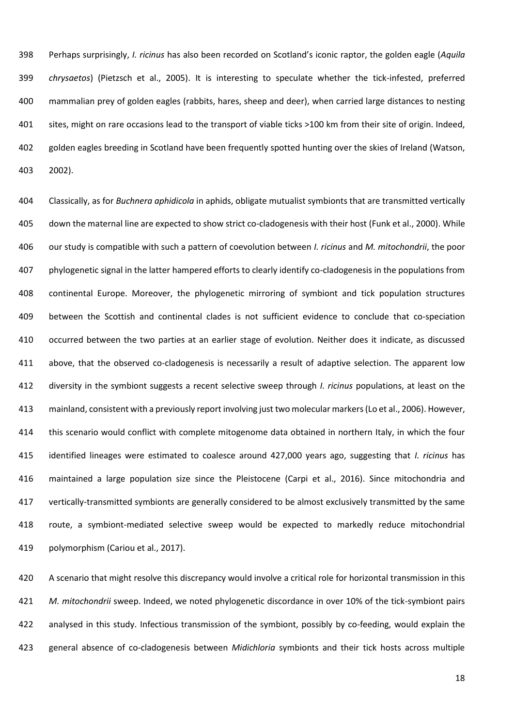Perhaps surprisingly, *I. ricinus* has also been recorded on Scotland's iconic raptor, the golden eagle (*Aquila chrysaetos*) (Pietzsch et al., 2005). It is interesting to speculate whether the tick-infested, preferred mammalian prey of golden eagles (rabbits, hares, sheep and deer), when carried large distances to nesting sites, might on rare occasions lead to the transport of viable ticks >100 km from their site of origin. Indeed, golden eagles breeding in Scotland have been frequently spotted hunting over the skies of Ireland (Watson, 2002).

 Classically, as for *Buchnera aphidicola* in aphids, obligate mutualist symbionts that are transmitted vertically down the maternal line are expected to show strict co-cladogenesis with their host (Funk et al., 2000). While our study is compatible with such a pattern of coevolution between *I. ricinus* and *M. mitochondrii*, the poor phylogenetic signal in the latter hampered efforts to clearly identify co-cladogenesis in the populations from continental Europe. Moreover, the phylogenetic mirroring of symbiont and tick population structures between the Scottish and continental clades is not sufficient evidence to conclude that co-speciation occurred between the two parties at an earlier stage of evolution. Neither does it indicate, as discussed above, that the observed co-cladogenesis is necessarily a result of adaptive selection. The apparent low diversity in the symbiont suggests a recent selective sweep through *I. ricinus* populations, at least on the mainland, consistent with a previously report involving just two molecular markers (Lo et al., 2006). However, this scenario would conflict with complete mitogenome data obtained in northern Italy, in which the four identified lineages were estimated to coalesce around 427,000 years ago, suggesting that *I. ricinus* has maintained a large population size since the Pleistocene (Carpi et al., 2016). Since mitochondria and vertically-transmitted symbionts are generally considered to be almost exclusively transmitted by the same route, a symbiont-mediated selective sweep would be expected to markedly reduce mitochondrial polymorphism (Cariou et al., 2017).

 A scenario that might resolve this discrepancy would involve a critical role for horizontal transmission in this *M. mitochondrii* sweep. Indeed, we noted phylogenetic discordance in over 10% of the tick-symbiont pairs analysed in this study. Infectious transmission of the symbiont, possibly by co-feeding, would explain the general absence of co-cladogenesis between *Midichloria* symbionts and their tick hosts across multiple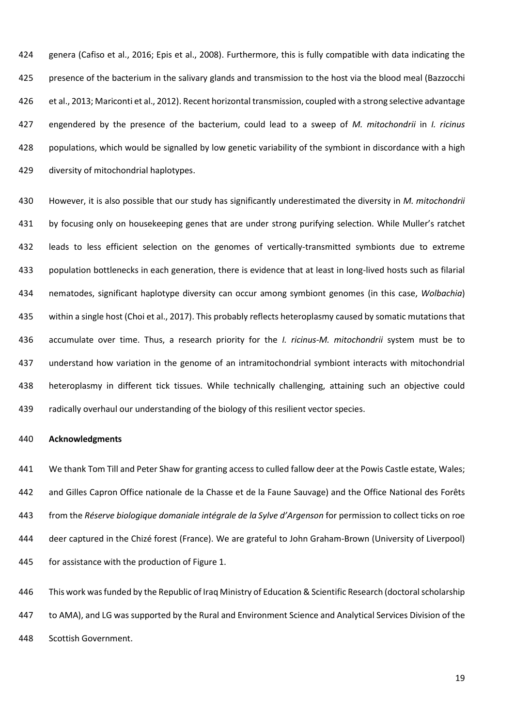genera (Cafiso et al., 2016; Epis et al., 2008). Furthermore, this is fully compatible with data indicating the presence of the bacterium in the salivary glands and transmission to the host via the blood meal (Bazzocchi et al., 2013; Mariconti et al., 2012). Recent horizontal transmission, coupled with a strong selective advantage engendered by the presence of the bacterium, could lead to a sweep of *M. mitochondrii* in *I. ricinus* populations, which would be signalled by low genetic variability of the symbiont in discordance with a high diversity of mitochondrial haplotypes.

 However, it is also possible that our study has significantly underestimated the diversity in *M. mitochondrii*  by focusing only on housekeeping genes that are under strong purifying selection. While Muller's ratchet leads to less efficient selection on the genomes of vertically-transmitted symbionts due to extreme population bottlenecks in each generation, there is evidence that at least in long-lived hosts such as filarial nematodes, significant haplotype diversity can occur among symbiont genomes (in this case, *Wolbachia*) within a single host (Choi et al., 2017). This probably reflects heteroplasmy caused by somatic mutations that accumulate over time. Thus, a research priority for the *I. ricinus*-*M. mitochondrii* system must be to understand how variation in the genome of an intramitochondrial symbiont interacts with mitochondrial heteroplasmy in different tick tissues. While technically challenging, attaining such an objective could radically overhaul our understanding of the biology of this resilient vector species.

## **Acknowledgments**

 We thank Tom Till and Peter Shaw for granting access to culled fallow deer at the Powis Castle estate, Wales; and Gilles Capron Office nationale de la Chasse et de la Faune Sauvage) and the Office National des Forêts from the *Réserve biologique domaniale intégrale de la Sylve d'Argenson* for permission to collect ticks on roe deer captured in the Chizé forest (France). We are grateful to John Graham-Brown (University of Liverpool) for assistance with the production of Figure 1.

446 This work was funded by the Republic of Iraq Ministry of Education & Scientific Research (doctoral scholarship to AMA), and LG was supported by the Rural and Environment Science and Analytical Services Division of the Scottish Government.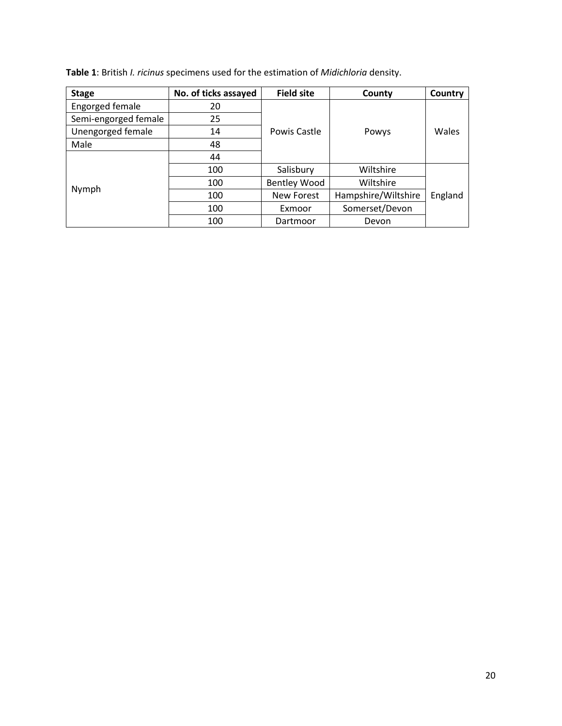| Table 1: British <i>I. ricinus</i> specimens used for the estimation of <i>Midichloria</i> density. |  |
|-----------------------------------------------------------------------------------------------------|--|
|-----------------------------------------------------------------------------------------------------|--|

| <b>Stage</b>         | No. of ticks assayed | <b>Field site</b>   | County              | Country |  |
|----------------------|----------------------|---------------------|---------------------|---------|--|
| Engorged female      | 20                   |                     |                     |         |  |
| Semi-engorged female | 25                   |                     |                     |         |  |
| Unengorged female    | 14                   | Powis Castle        | Powys               | Wales   |  |
| Male                 | 48                   |                     |                     |         |  |
|                      | 44                   |                     |                     |         |  |
|                      | 100                  | Salisbury           | Wiltshire           |         |  |
|                      | 100                  | <b>Bentley Wood</b> | Wiltshire           | England |  |
| Nymph                | 100                  | <b>New Forest</b>   | Hampshire/Wiltshire |         |  |
|                      | 100                  | Exmoor              | Somerset/Devon      |         |  |
|                      | 100                  | Dartmoor            | Devon               |         |  |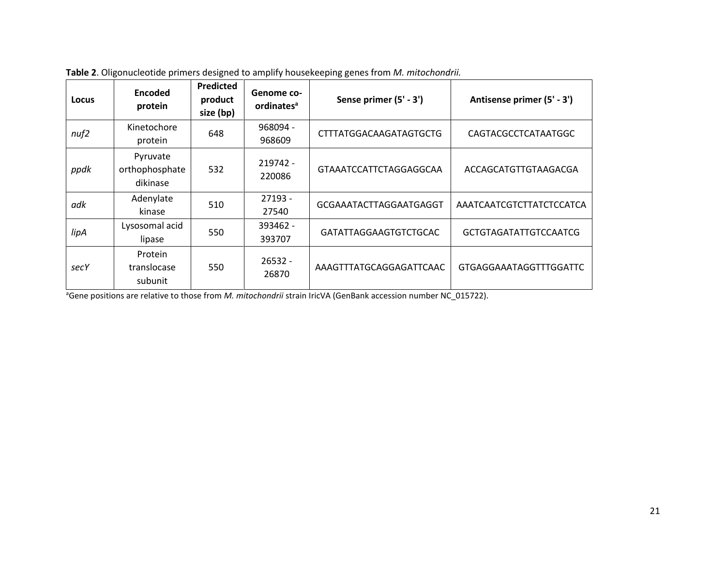| Locus | Encoded<br>protein                     | <b>Predicted</b><br>product<br>size (bp) | Genome co-<br>ordinates <sup>a</sup> | Sense primer (5' - 3')        | Antisense primer (5' - 3')    |
|-------|----------------------------------------|------------------------------------------|--------------------------------------|-------------------------------|-------------------------------|
| nuf2  | Kinetochore<br>protein                 | 648                                      | 968094 -<br>968609                   | <b>CTTTATGGACAAGATAGTGCTG</b> | CAGTACGCCTCATAATGGC           |
| ppdk  | Pyruvate<br>orthophosphate<br>dikinase | 532                                      | 219742 -<br>220086                   | GTAAATCCATTCTAGGAGGCAA        | ACCAGCATGTTGTAAGACGA          |
| adk   | Adenylate<br>kinase                    | 510                                      | 27193 -<br>27540                     | GCGAAATACTTAGGAATGAGGT        | AAATCAATCGTCTTATCTCCATCA      |
| lipA  | Lysosomal acid<br>lipase               | 550                                      | 393462 -<br>393707                   | GATATTAGGAAGTGTCTGCAC         | <b>GCTGTAGATATTGTCCAATCG</b>  |
| secY  | Protein<br>translocase<br>subunit      | 550                                      | $26532 -$<br>26870                   | AAAGTTTATGCAGGAGATTCAAC       | <b>GTGAGGAAATAGGTTTGGATTC</b> |

**Table 2**. Oligonucleotide primers designed to amplify housekeeping genes from *M. mitochondrii.*

<sup>a</sup>Gene positions are relative to those from *M. mitochondrii* strain IricVA (GenBank accession number NC\_015722).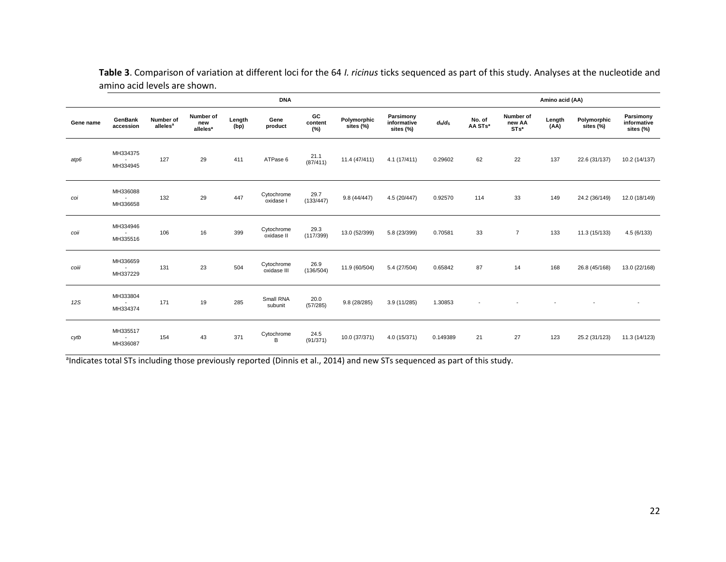|           | <b>DNA</b>                                       |                                   |                              |                |                           |                      |                          |                                       |           | Amino acid (AA)          |                                |                |                          |                                       |  |
|-----------|--------------------------------------------------|-----------------------------------|------------------------------|----------------|---------------------------|----------------------|--------------------------|---------------------------------------|-----------|--------------------------|--------------------------------|----------------|--------------------------|---------------------------------------|--|
| Gene name | <b>GenBank</b><br>accession                      | Number of<br>alleles <sup>a</sup> | Number of<br>new<br>alleles* | Length<br>(bp) | Gene<br>product           | GC<br>content<br>(%) | Polymorphic<br>sites (%) | Parsimony<br>informative<br>sites (%) | $d_N/d_S$ | No. of<br>AA STs*        | Number of<br>new AA<br>$STs^*$ | Length<br>(AA) | Polymorphic<br>sites (%) | Parsimony<br>informative<br>sites (%) |  |
| atp6      | MH334375<br>MH334945                             | 127                               | 29                           | 411            | ATPase 6                  | 21.1<br>(87/411)     | 11.4 (47/411)            | 4.1(17/411)                           | 0.29602   | 62                       | 22                             | 137            | 22.6 (31/137)            | 10.2 (14/137)                         |  |
| coi       | MH336088<br>$\sim$<br>MH336658                   | 132                               | 29                           | 447            | Cytochrome<br>oxidase I   | 29.7<br>(133/447)    | 9.8(44/447)              | 4.5 (20/447)                          | 0.92570   | 114                      | 33                             | 149            | 24.2 (36/149)            | 12.0 (18/149)                         |  |
| coii      | MH334946<br>$\sim$<br>MH335516                   | 106                               | 16                           | 399            | Cytochrome<br>oxidase II  | 29.3<br>(117/399)    | 13.0 (52/399)            | 5.8 (23/399)                          | 0.70581   | 33                       | $\overline{7}$                 | 133            | 11.3 (15/133)            | 4.5(6/133)                            |  |
| coiii     | MH336659<br>$\sim$<br>MH337229                   | 131                               | 23                           | 504            | Cytochrome<br>oxidase III | 26.9<br>(136/504)    | 11.9 (60/504)            | 5.4 (27/504)                          | 0.65842   | 87                       | 14                             | 168            | 26.8 (45/168)            | 13.0 (22/168)                         |  |
| 12S       | MH333804<br>$\sim$<br>MH334374                   | 171                               | 19                           | 285            | Small RNA<br>subunit      | 20.0<br>(57/285)     | 9.8 (28/285)             | 3.9 (11/285)                          | 1.30853   | $\overline{\phantom{a}}$ |                                |                |                          | $\overline{\phantom{a}}$              |  |
| cytb      | MH335517<br>$\overline{\phantom{a}}$<br>MH336087 | 154                               | 43                           | 371            | Cytochrome<br>B           | 24.5<br>(91/371)     | 10.0 (37/371)            | 4.0 (15/371)                          | 0.149389  | 21                       | 27                             | 123            | 25.2 (31/123)            | 11.3 (14/123)                         |  |

**Table 3**. Comparison of variation at different loci for the 64 *I. ricinus* ticks sequenced as part of this study. Analyses at the nucleotide and amino acid levels are shown.

andicates total STs including those previously reported (Dinnis et al., 2014) and new STs sequenced as part of this study.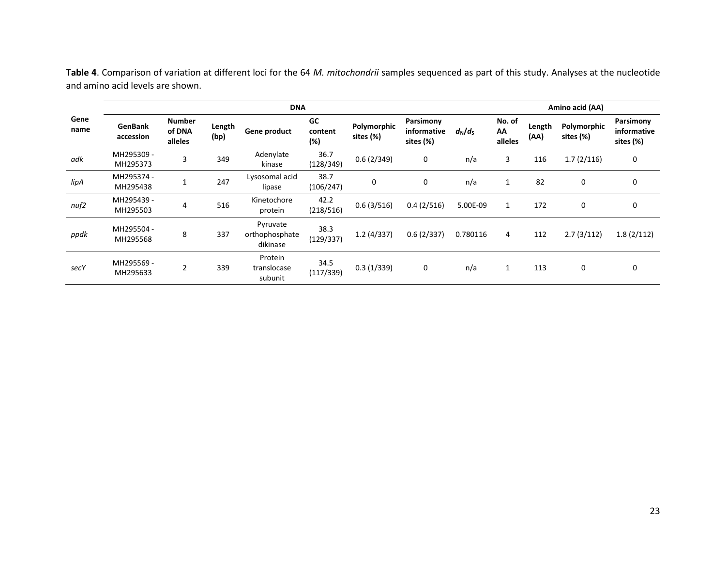|              | <b>DNA</b>                  |                                    |                |                                        |                      |                          |                                       |                       |                         |                | Amino acid (AA)          |                                       |  |  |  |
|--------------|-----------------------------|------------------------------------|----------------|----------------------------------------|----------------------|--------------------------|---------------------------------------|-----------------------|-------------------------|----------------|--------------------------|---------------------------------------|--|--|--|
| Gene<br>name | <b>GenBank</b><br>accession | <b>Number</b><br>of DNA<br>alleles | Length<br>(bp) | Gene product                           | GC<br>content<br>(%) | Polymorphic<br>sites (%) | Parsimony<br>informative<br>sites (%) | $d_{\rm N}/d_{\rm S}$ | No. of<br>AA<br>alleles | Length<br>(AA) | Polymorphic<br>sites (%) | Parsimony<br>informative<br>sites (%) |  |  |  |
| adk          | MH295309 -<br>MH295373      | 3                                  | 349            | Adenylate<br>kinase                    | 36.7<br>(128/349)    | 0.6(2/349)               | 0                                     | n/a                   | 3                       | 116            | 1.7(2/116)               | 0                                     |  |  |  |
| lipA         | MH295374 -<br>MH295438      | $\mathbf{1}$                       | 247            | Lysosomal acid<br>lipase               | 38.7<br>(106/247)    | 0                        | 0                                     | n/a                   | 1                       | 82             | 0                        | 0                                     |  |  |  |
| nuf2         | MH295439 -<br>MH295503      | 4                                  | 516            | Kinetochore<br>protein                 | 42.2<br>(218/516)    | 0.6(3/516)               | 0.4(2/516)                            | 5.00E-09              | 1                       | 172            | 0                        | 0                                     |  |  |  |
| ppdk         | MH295504 -<br>MH295568      | 8                                  | 337            | Pyruvate<br>orthophosphate<br>dikinase | 38.3<br>(129/337)    | 1.2(4/337)               | 0.6(2/337)                            | 0.780116              | 4                       | 112            | 2.7(3/112)               | 1.8(2/112)                            |  |  |  |
| secY         | MH295569 -<br>MH295633      | $\overline{2}$                     | 339            | Protein<br>translocase<br>subunit      | 34.5<br>(117/339)    | 0.3(1/339)               | 0                                     | n/a                   | 1                       | 113            | 0                        | 0                                     |  |  |  |

**Table 4**. Comparison of variation at different loci for the 64 *M. mitochondrii* samples sequenced as part of this study. Analyses at the nucleotide and amino acid levels are shown.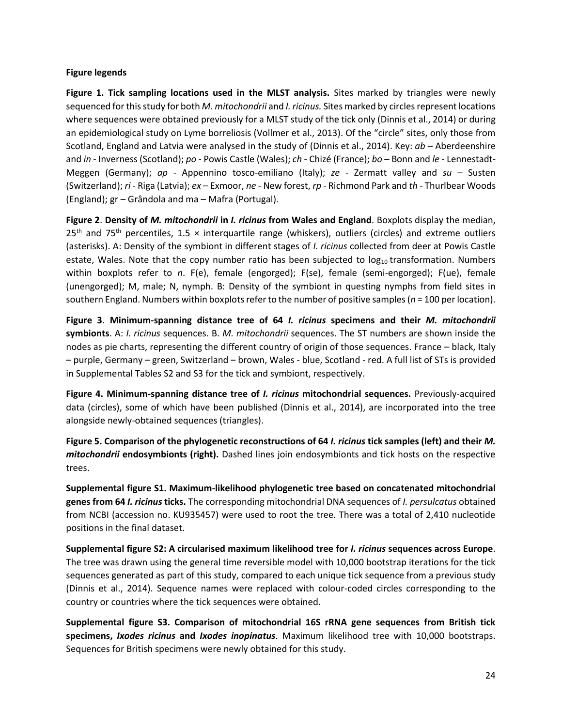# **Figure legends**

**Figure 1. Tick sampling locations used in the MLST analysis.** Sites marked by triangles were newly sequenced for this study for both *M. mitochondrii* and *I. ricinus.* Sites marked by circles represent locations where sequences were obtained previously for a MLST study of the tick only (Dinnis et al., 2014) or during an epidemiological study on Lyme borreliosis (Vollmer et al., 2013). Of the "circle" sites, only those from Scotland, England and Latvia were analysed in the study of (Dinnis et al., 2014). Key: *ab* – Aberdeenshire and *in* - Inverness (Scotland); *po* - Powis Castle (Wales); *ch* - Chizé (France); *bo* – Bonn and *le* - Lennestadt-Meggen (Germany); *ap* - Appennino tosco-emiliano (Italy); *ze* - Zermatt valley and *su* – Susten (Switzerland); *ri* - Riga (Latvia); *ex* – Exmoor, *ne* - New forest, *rp* - Richmond Park and *th* - Thurlbear Woods (England); gr – Grândola and ma – Mafra (Portugal).

**Figure 2**. **Density of** *M. mitochondrii* **in** *I. ricinus* **from Wales and England**. Boxplots display the median,  $25<sup>th</sup>$  and 75<sup>th</sup> percentiles, 1.5  $\times$  interquartile range (whiskers), outliers (circles) and extreme outliers (asterisks). A: Density of the symbiont in different stages of *I. ricinus* collected from deer at Powis Castle estate, Wales. Note that the copy number ratio has been subjected to  $log_{10}$  transformation. Numbers within boxplots refer to *n*. F(e), female (engorged); F(se), female (semi-engorged); F(ue), female (unengorged); M, male; N, nymph. B: Density of the symbiont in questing nymphs from field sites in southern England. Numbers within boxplots refer to the number of positive samples (*n* = 100 per location).

**Figure 3**. **Minimum-spanning distance tree of 64** *I. ricinus* **specimens and their** *M. mitochondrii*  **symbionts**. A: *I. ricinus* sequences. B. *M. mitochondrii* sequences. The ST numbers are shown inside the nodes as pie charts, representing the different country of origin of those sequences. France – black, Italy – purple, Germany – green, Switzerland – brown, Wales - blue, Scotland - red. A full list of STs is provided in Supplemental Tables S2 and S3 for the tick and symbiont, respectively.

**Figure 4. Minimum-spanning distance tree of** *I. ricinus* **mitochondrial sequences.** Previously-acquired data (circles), some of which have been published (Dinnis et al., 2014), are incorporated into the tree alongside newly-obtained sequences (triangles).

**Figure 5. Comparison of the phylogenetic reconstructions of 64** *I. ricinus* **tick samples (left) and their** *M. mitochondrii* **endosymbionts (right).** Dashed lines join endosymbionts and tick hosts on the respective trees.

**Supplemental figure S1. Maximum-likelihood phylogenetic tree based on concatenated mitochondrial genes from 64** *I. ricinus* **ticks.** The corresponding mitochondrial DNA sequences of *I. persulcatus* obtained from NCBI (accession no. KU935457) were used to root the tree. There was a total of 2,410 nucleotide positions in the final dataset.

**Supplemental figure S2: A circularised maximum likelihood tree for** *I. ricinus* **sequences across Europe**. The tree was drawn using the general time reversible model with 10,000 bootstrap iterations for the tick sequences generated as part of this study, compared to each unique tick sequence from a previous study (Dinnis et al., 2014). Sequence names were replaced with colour-coded circles corresponding to the country or countries where the tick sequences were obtained.

**Supplemental figure S3. Comparison of mitochondrial 16S rRNA gene sequences from British tick specimens,** *Ixodes ricinus* **and** *Ixodes inopinatus*. Maximum likelihood tree with 10,000 bootstraps. Sequences for British specimens were newly obtained for this study.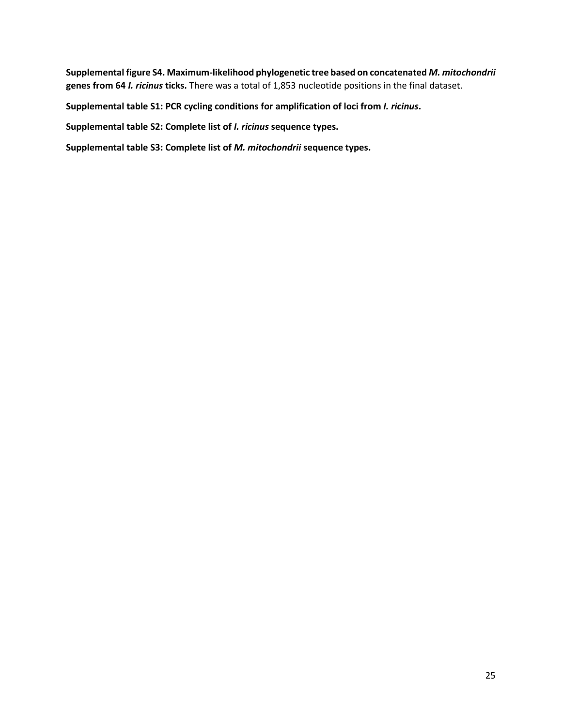**Supplemental figure S4. Maximum-likelihood phylogenetic tree based on concatenated** *M. mitochondrii* **genes from 64** *I. ricinus* **ticks.** There was a total of 1,853 nucleotide positions in the final dataset.

**Supplemental table S1: PCR cycling conditions for amplification of loci from** *I. ricinus***.**

**Supplemental table S2: Complete list of** *I. ricinus* **sequence types.**

**Supplemental table S3: Complete list of** *M. mitochondrii* **sequence types.**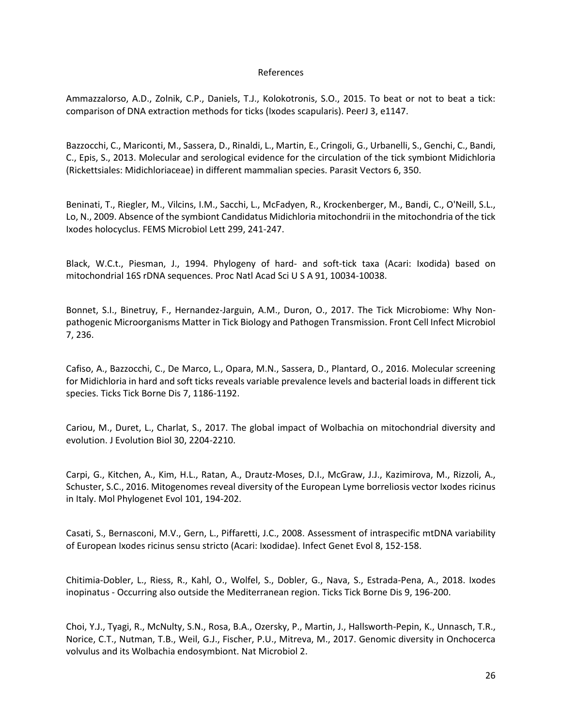### References

Ammazzalorso, A.D., Zolnik, C.P., Daniels, T.J., Kolokotronis, S.O., 2015. To beat or not to beat a tick: comparison of DNA extraction methods for ticks (Ixodes scapularis). PeerJ 3, e1147.

Bazzocchi, C., Mariconti, M., Sassera, D., Rinaldi, L., Martin, E., Cringoli, G., Urbanelli, S., Genchi, C., Bandi, C., Epis, S., 2013. Molecular and serological evidence for the circulation of the tick symbiont Midichloria (Rickettsiales: Midichloriaceae) in different mammalian species. Parasit Vectors 6, 350.

Beninati, T., Riegler, M., Vilcins, I.M., Sacchi, L., McFadyen, R., Krockenberger, M., Bandi, C., O'Neill, S.L., Lo, N., 2009. Absence of the symbiont Candidatus Midichloria mitochondrii in the mitochondria of the tick Ixodes holocyclus. FEMS Microbiol Lett 299, 241-247.

Black, W.C.t., Piesman, J., 1994. Phylogeny of hard- and soft-tick taxa (Acari: Ixodida) based on mitochondrial 16S rDNA sequences. Proc Natl Acad Sci U S A 91, 10034-10038.

Bonnet, S.I., Binetruy, F., Hernandez-Jarguin, A.M., Duron, O., 2017. The Tick Microbiome: Why Nonpathogenic Microorganisms Matter in Tick Biology and Pathogen Transmission. Front Cell Infect Microbiol 7, 236.

Cafiso, A., Bazzocchi, C., De Marco, L., Opara, M.N., Sassera, D., Plantard, O., 2016. Molecular screening for Midichloria in hard and soft ticks reveals variable prevalence levels and bacterial loads in different tick species. Ticks Tick Borne Dis 7, 1186-1192.

Cariou, M., Duret, L., Charlat, S., 2017. The global impact of Wolbachia on mitochondrial diversity and evolution. J Evolution Biol 30, 2204-2210.

Carpi, G., Kitchen, A., Kim, H.L., Ratan, A., Drautz-Moses, D.I., McGraw, J.J., Kazimirova, M., Rizzoli, A., Schuster, S.C., 2016. Mitogenomes reveal diversity of the European Lyme borreliosis vector Ixodes ricinus in Italy. Mol Phylogenet Evol 101, 194-202.

Casati, S., Bernasconi, M.V., Gern, L., Piffaretti, J.C., 2008. Assessment of intraspecific mtDNA variability of European Ixodes ricinus sensu stricto (Acari: Ixodidae). Infect Genet Evol 8, 152-158.

Chitimia-Dobler, L., Riess, R., Kahl, O., Wolfel, S., Dobler, G., Nava, S., Estrada-Pena, A., 2018. Ixodes inopinatus - Occurring also outside the Mediterranean region. Ticks Tick Borne Dis 9, 196-200.

Choi, Y.J., Tyagi, R., McNulty, S.N., Rosa, B.A., Ozersky, P., Martin, J., Hallsworth-Pepin, K., Unnasch, T.R., Norice, C.T., Nutman, T.B., Weil, G.J., Fischer, P.U., Mitreva, M., 2017. Genomic diversity in Onchocerca volvulus and its Wolbachia endosymbiont. Nat Microbiol 2.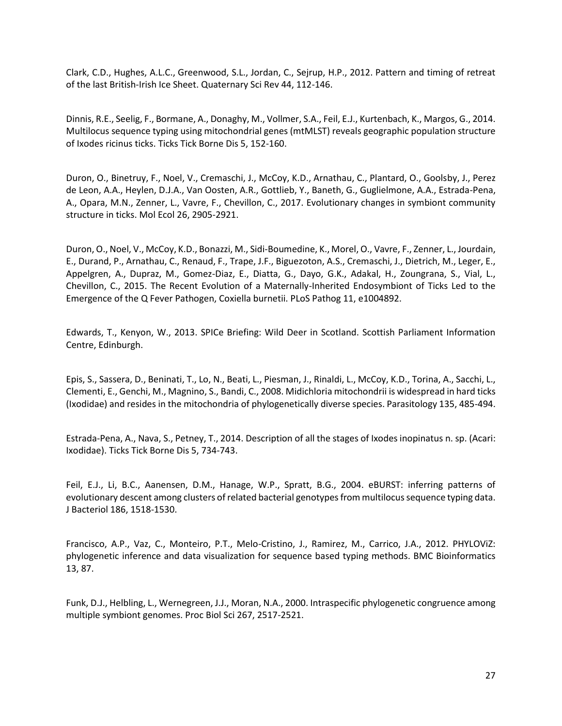Clark, C.D., Hughes, A.L.C., Greenwood, S.L., Jordan, C., Sejrup, H.P., 2012. Pattern and timing of retreat of the last British-Irish Ice Sheet. Quaternary Sci Rev 44, 112-146.

Dinnis, R.E., Seelig, F., Bormane, A., Donaghy, M., Vollmer, S.A., Feil, E.J., Kurtenbach, K., Margos, G., 2014. Multilocus sequence typing using mitochondrial genes (mtMLST) reveals geographic population structure of Ixodes ricinus ticks. Ticks Tick Borne Dis 5, 152-160.

Duron, O., Binetruy, F., Noel, V., Cremaschi, J., McCoy, K.D., Arnathau, C., Plantard, O., Goolsby, J., Perez de Leon, A.A., Heylen, D.J.A., Van Oosten, A.R., Gottlieb, Y., Baneth, G., Guglielmone, A.A., Estrada-Pena, A., Opara, M.N., Zenner, L., Vavre, F., Chevillon, C., 2017. Evolutionary changes in symbiont community structure in ticks. Mol Ecol 26, 2905-2921.

Duron, O., Noel, V., McCoy, K.D., Bonazzi, M., Sidi-Boumedine, K., Morel, O., Vavre, F., Zenner, L., Jourdain, E., Durand, P., Arnathau, C., Renaud, F., Trape, J.F., Biguezoton, A.S., Cremaschi, J., Dietrich, M., Leger, E., Appelgren, A., Dupraz, M., Gomez-Diaz, E., Diatta, G., Dayo, G.K., Adakal, H., Zoungrana, S., Vial, L., Chevillon, C., 2015. The Recent Evolution of a Maternally-Inherited Endosymbiont of Ticks Led to the Emergence of the Q Fever Pathogen, Coxiella burnetii. PLoS Pathog 11, e1004892.

Edwards, T., Kenyon, W., 2013. SPICe Briefing: Wild Deer in Scotland. Scottish Parliament Information Centre, Edinburgh.

Epis, S., Sassera, D., Beninati, T., Lo, N., Beati, L., Piesman, J., Rinaldi, L., McCoy, K.D., Torina, A., Sacchi, L., Clementi, E., Genchi, M., Magnino, S., Bandi, C., 2008. Midichloria mitochondrii is widespread in hard ticks (Ixodidae) and resides in the mitochondria of phylogenetically diverse species. Parasitology 135, 485-494.

Estrada-Pena, A., Nava, S., Petney, T., 2014. Description of all the stages of Ixodes inopinatus n. sp. (Acari: Ixodidae). Ticks Tick Borne Dis 5, 734-743.

Feil, E.J., Li, B.C., Aanensen, D.M., Hanage, W.P., Spratt, B.G., 2004. eBURST: inferring patterns of evolutionary descent among clusters of related bacterial genotypes from multilocus sequence typing data. J Bacteriol 186, 1518-1530.

Francisco, A.P., Vaz, C., Monteiro, P.T., Melo-Cristino, J., Ramirez, M., Carrico, J.A., 2012. PHYLOViZ: phylogenetic inference and data visualization for sequence based typing methods. BMC Bioinformatics 13, 87.

Funk, D.J., Helbling, L., Wernegreen, J.J., Moran, N.A., 2000. Intraspecific phylogenetic congruence among multiple symbiont genomes. Proc Biol Sci 267, 2517-2521.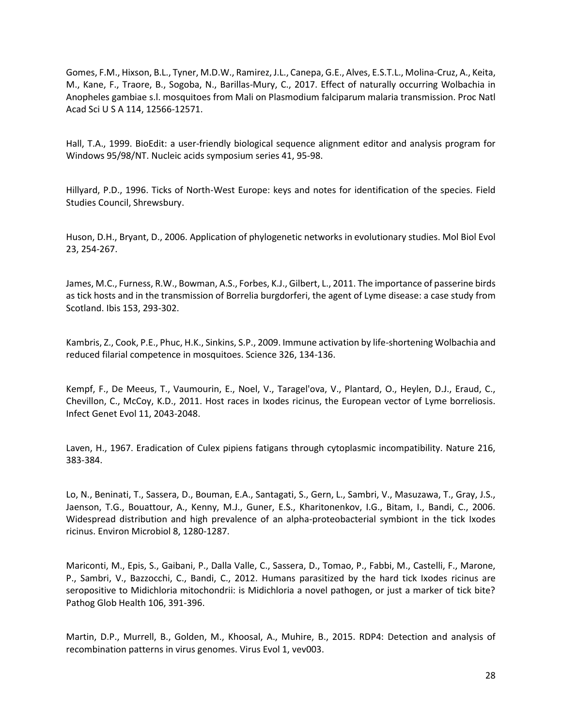Gomes, F.M., Hixson, B.L., Tyner, M.D.W., Ramirez, J.L., Canepa, G.E., Alves, E.S.T.L., Molina-Cruz, A., Keita, M., Kane, F., Traore, B., Sogoba, N., Barillas-Mury, C., 2017. Effect of naturally occurring Wolbachia in Anopheles gambiae s.l. mosquitoes from Mali on Plasmodium falciparum malaria transmission. Proc Natl Acad Sci U S A 114, 12566-12571.

Hall, T.A., 1999. BioEdit: a user-friendly biological sequence alignment editor and analysis program for Windows 95/98/NT. Nucleic acids symposium series 41, 95-98.

Hillyard, P.D., 1996. Ticks of North-West Europe: keys and notes for identification of the species. Field Studies Council, Shrewsbury.

Huson, D.H., Bryant, D., 2006. Application of phylogenetic networks in evolutionary studies. Mol Biol Evol 23, 254-267.

James, M.C., Furness, R.W., Bowman, A.S., Forbes, K.J., Gilbert, L., 2011. The importance of passerine birds as tick hosts and in the transmission of Borrelia burgdorferi, the agent of Lyme disease: a case study from Scotland. Ibis 153, 293-302.

Kambris, Z., Cook, P.E., Phuc, H.K., Sinkins, S.P., 2009. Immune activation by life-shortening Wolbachia and reduced filarial competence in mosquitoes. Science 326, 134-136.

Kempf, F., De Meeus, T., Vaumourin, E., Noel, V., Taragel'ova, V., Plantard, O., Heylen, D.J., Eraud, C., Chevillon, C., McCoy, K.D., 2011. Host races in Ixodes ricinus, the European vector of Lyme borreliosis. Infect Genet Evol 11, 2043-2048.

Laven, H., 1967. Eradication of Culex pipiens fatigans through cytoplasmic incompatibility. Nature 216, 383-384.

Lo, N., Beninati, T., Sassera, D., Bouman, E.A., Santagati, S., Gern, L., Sambri, V., Masuzawa, T., Gray, J.S., Jaenson, T.G., Bouattour, A., Kenny, M.J., Guner, E.S., Kharitonenkov, I.G., Bitam, I., Bandi, C., 2006. Widespread distribution and high prevalence of an alpha-proteobacterial symbiont in the tick Ixodes ricinus. Environ Microbiol 8, 1280-1287.

Mariconti, M., Epis, S., Gaibani, P., Dalla Valle, C., Sassera, D., Tomao, P., Fabbi, M., Castelli, F., Marone, P., Sambri, V., Bazzocchi, C., Bandi, C., 2012. Humans parasitized by the hard tick Ixodes ricinus are seropositive to Midichloria mitochondrii: is Midichloria a novel pathogen, or just a marker of tick bite? Pathog Glob Health 106, 391-396.

Martin, D.P., Murrell, B., Golden, M., Khoosal, A., Muhire, B., 2015. RDP4: Detection and analysis of recombination patterns in virus genomes. Virus Evol 1, vev003.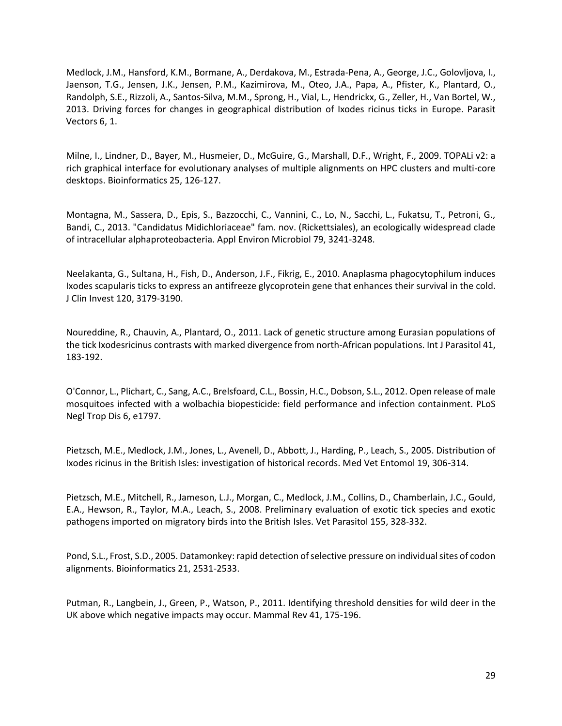Medlock, J.M., Hansford, K.M., Bormane, A., Derdakova, M., Estrada-Pena, A., George, J.C., Golovljova, I., Jaenson, T.G., Jensen, J.K., Jensen, P.M., Kazimirova, M., Oteo, J.A., Papa, A., Pfister, K., Plantard, O., Randolph, S.E., Rizzoli, A., Santos-Silva, M.M., Sprong, H., Vial, L., Hendrickx, G., Zeller, H., Van Bortel, W., 2013. Driving forces for changes in geographical distribution of Ixodes ricinus ticks in Europe. Parasit Vectors 6, 1.

Milne, I., Lindner, D., Bayer, M., Husmeier, D., McGuire, G., Marshall, D.F., Wright, F., 2009. TOPALi v2: a rich graphical interface for evolutionary analyses of multiple alignments on HPC clusters and multi-core desktops. Bioinformatics 25, 126-127.

Montagna, M., Sassera, D., Epis, S., Bazzocchi, C., Vannini, C., Lo, N., Sacchi, L., Fukatsu, T., Petroni, G., Bandi, C., 2013. "Candidatus Midichloriaceae" fam. nov. (Rickettsiales), an ecologically widespread clade of intracellular alphaproteobacteria. Appl Environ Microbiol 79, 3241-3248.

Neelakanta, G., Sultana, H., Fish, D., Anderson, J.F., Fikrig, E., 2010. Anaplasma phagocytophilum induces Ixodes scapularis ticks to express an antifreeze glycoprotein gene that enhances their survival in the cold. J Clin Invest 120, 3179-3190.

Noureddine, R., Chauvin, A., Plantard, O., 2011. Lack of genetic structure among Eurasian populations of the tick Ixodesricinus contrasts with marked divergence from north-African populations. Int J Parasitol 41, 183-192.

O'Connor, L., Plichart, C., Sang, A.C., Brelsfoard, C.L., Bossin, H.C., Dobson, S.L., 2012. Open release of male mosquitoes infected with a wolbachia biopesticide: field performance and infection containment. PLoS Negl Trop Dis 6, e1797.

Pietzsch, M.E., Medlock, J.M., Jones, L., Avenell, D., Abbott, J., Harding, P., Leach, S., 2005. Distribution of Ixodes ricinus in the British Isles: investigation of historical records. Med Vet Entomol 19, 306-314.

Pietzsch, M.E., Mitchell, R., Jameson, L.J., Morgan, C., Medlock, J.M., Collins, D., Chamberlain, J.C., Gould, E.A., Hewson, R., Taylor, M.A., Leach, S., 2008. Preliminary evaluation of exotic tick species and exotic pathogens imported on migratory birds into the British Isles. Vet Parasitol 155, 328-332.

Pond, S.L., Frost, S.D., 2005. Datamonkey: rapid detection of selective pressure on individual sites of codon alignments. Bioinformatics 21, 2531-2533.

Putman, R., Langbein, J., Green, P., Watson, P., 2011. Identifying threshold densities for wild deer in the UK above which negative impacts may occur. Mammal Rev 41, 175-196.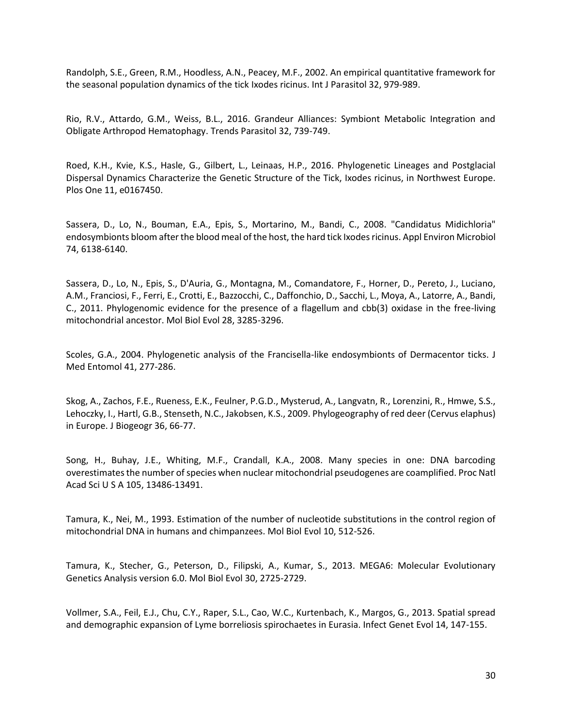Randolph, S.E., Green, R.M., Hoodless, A.N., Peacey, M.F., 2002. An empirical quantitative framework for the seasonal population dynamics of the tick Ixodes ricinus. Int J Parasitol 32, 979-989.

Rio, R.V., Attardo, G.M., Weiss, B.L., 2016. Grandeur Alliances: Symbiont Metabolic Integration and Obligate Arthropod Hematophagy. Trends Parasitol 32, 739-749.

Roed, K.H., Kvie, K.S., Hasle, G., Gilbert, L., Leinaas, H.P., 2016. Phylogenetic Lineages and Postglacial Dispersal Dynamics Characterize the Genetic Structure of the Tick, Ixodes ricinus, in Northwest Europe. Plos One 11, e0167450.

Sassera, D., Lo, N., Bouman, E.A., Epis, S., Mortarino, M., Bandi, C., 2008. "Candidatus Midichloria" endosymbionts bloom after the blood meal of the host, the hard tick Ixodes ricinus. Appl Environ Microbiol 74, 6138-6140.

Sassera, D., Lo, N., Epis, S., D'Auria, G., Montagna, M., Comandatore, F., Horner, D., Pereto, J., Luciano, A.M., Franciosi, F., Ferri, E., Crotti, E., Bazzocchi, C., Daffonchio, D., Sacchi, L., Moya, A., Latorre, A., Bandi, C., 2011. Phylogenomic evidence for the presence of a flagellum and cbb(3) oxidase in the free-living mitochondrial ancestor. Mol Biol Evol 28, 3285-3296.

Scoles, G.A., 2004. Phylogenetic analysis of the Francisella-like endosymbionts of Dermacentor ticks. J Med Entomol 41, 277-286.

Skog, A., Zachos, F.E., Rueness, E.K., Feulner, P.G.D., Mysterud, A., Langvatn, R., Lorenzini, R., Hmwe, S.S., Lehoczky, I., Hartl, G.B., Stenseth, N.C., Jakobsen, K.S., 2009. Phylogeography of red deer (Cervus elaphus) in Europe. J Biogeogr 36, 66-77.

Song, H., Buhay, J.E., Whiting, M.F., Crandall, K.A., 2008. Many species in one: DNA barcoding overestimates the number of species when nuclear mitochondrial pseudogenes are coamplified. Proc Natl Acad Sci U S A 105, 13486-13491.

Tamura, K., Nei, M., 1993. Estimation of the number of nucleotide substitutions in the control region of mitochondrial DNA in humans and chimpanzees. Mol Biol Evol 10, 512-526.

Tamura, K., Stecher, G., Peterson, D., Filipski, A., Kumar, S., 2013. MEGA6: Molecular Evolutionary Genetics Analysis version 6.0. Mol Biol Evol 30, 2725-2729.

Vollmer, S.A., Feil, E.J., Chu, C.Y., Raper, S.L., Cao, W.C., Kurtenbach, K., Margos, G., 2013. Spatial spread and demographic expansion of Lyme borreliosis spirochaetes in Eurasia. Infect Genet Evol 14, 147-155.